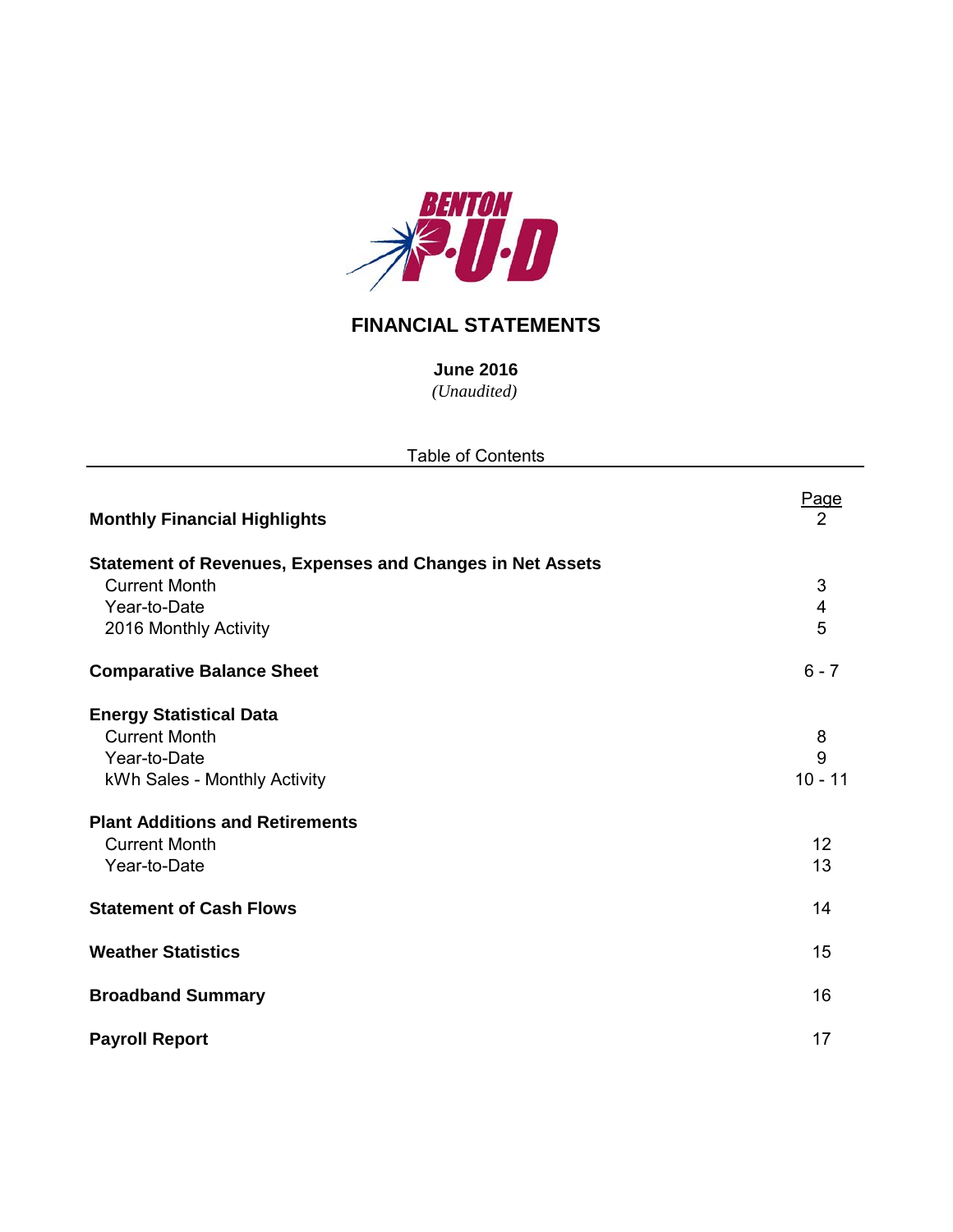

# **FINANCIAL STATEMENTS**

*(Unaudited)* **June 2016**

| <b>Table of Contents</b>                                         |           |
|------------------------------------------------------------------|-----------|
| <b>Monthly Financial Highlights</b>                              | Page<br>2 |
| <b>Statement of Revenues, Expenses and Changes in Net Assets</b> |           |
| <b>Current Month</b>                                             | 3         |
| Year-to-Date                                                     | 4         |
| 2016 Monthly Activity                                            | 5         |
| <b>Comparative Balance Sheet</b>                                 | $6 - 7$   |
| <b>Energy Statistical Data</b>                                   |           |
| <b>Current Month</b>                                             | 8         |
| Year-to-Date                                                     | 9         |
| kWh Sales - Monthly Activity                                     | $10 - 11$ |
| <b>Plant Additions and Retirements</b>                           |           |
| <b>Current Month</b>                                             | 12        |
| Year-to-Date                                                     | 13        |
| <b>Statement of Cash Flows</b>                                   | 14        |
| <b>Weather Statistics</b>                                        | 15        |
| <b>Broadband Summary</b>                                         | 16        |
| <b>Payroll Report</b>                                            | 17        |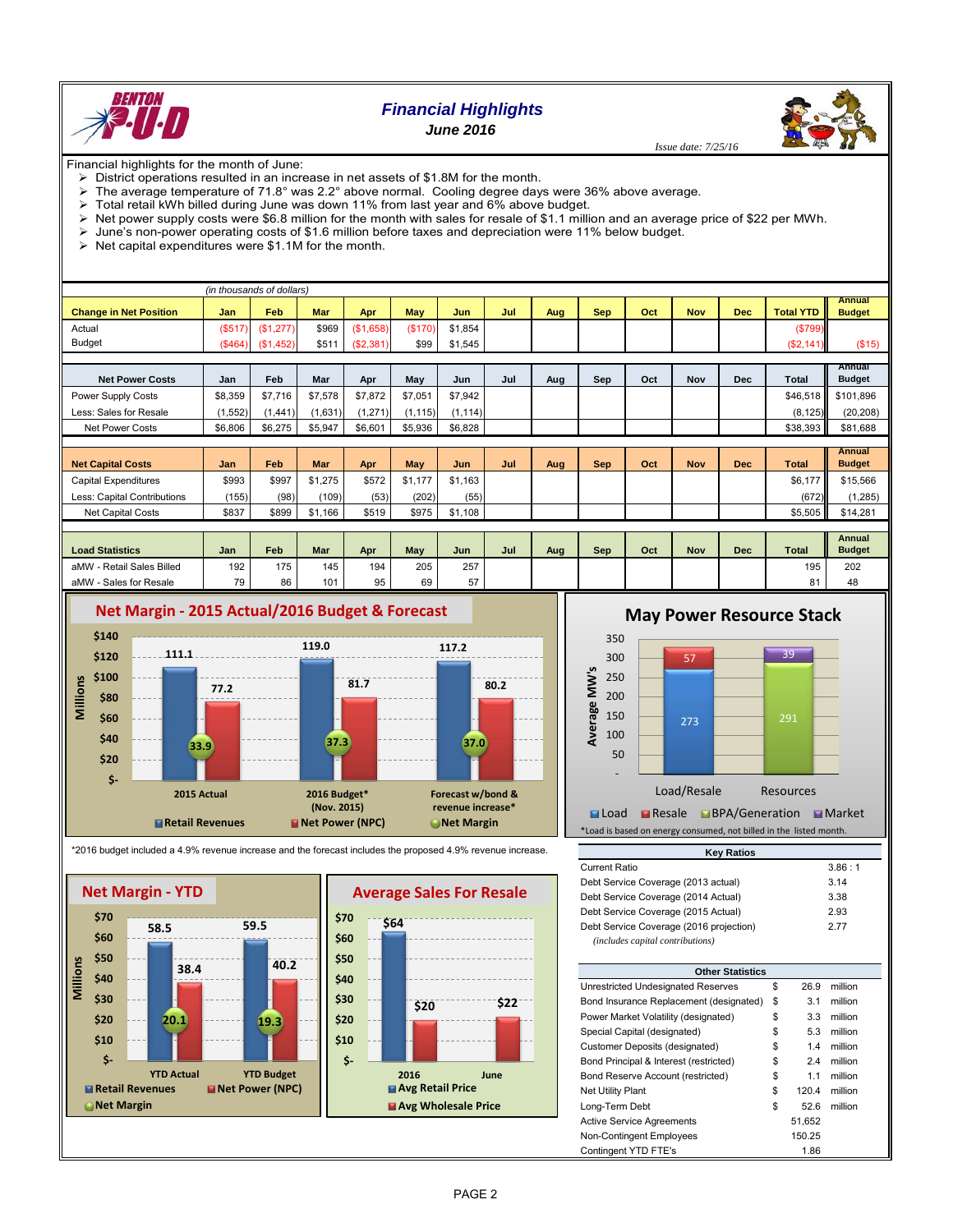

# *Financial Highlights*

*June 2016*



Financial highlights for the month of June:

- $\triangleright$  District operations resulted in an increase in net assets of \$1.8M for the month.
- The average temperature of 71.8° was 2.2° above normal. Cooling degree days were 36% above average.
- Total retail kWh billed during June was down 11% from last year and 6% above budget.
- $\triangleright$  Net power supply costs were \$6.8 million for the month with sales for resale of \$1.1 million and an average price of \$22 per MWh.
- June's non-power operating costs of \$1.6 million before taxes and depreciation were 11% below budget.
- $\triangleright$  Net capital expenditures were \$1.1M for the month.

|                               |            | (in thousands of dollars) |         |           |          |         |     |     |            |     |            |            |                  |               |
|-------------------------------|------------|---------------------------|---------|-----------|----------|---------|-----|-----|------------|-----|------------|------------|------------------|---------------|
|                               |            | Feb                       | Mar     |           |          |         | Jul |     |            | Oct | <b>Nov</b> | Dec        | <b>Total YTD</b> | Annual        |
| <b>Change in Net Position</b> | <b>Jan</b> |                           |         | Apr       | May      | Jun     |     | Aug | <b>Sep</b> |     |            |            |                  | <b>Budget</b> |
| Actual                        | (S517)     | (\$1,277)                 | \$969   | (\$1,658) | (\$170)  | \$1,854 |     |     |            |     |            |            | (\$799)          |               |
| <b>Budget</b>                 | (\$464)    | (\$1,452)                 | \$511   | (S2, 381) | \$99     | \$1,545 |     |     |            |     |            |            | ( \$2, 141)      | (\$15)        |
|                               |            |                           |         |           |          |         |     |     |            |     |            |            |                  |               |
|                               |            |                           |         |           |          |         |     |     |            |     |            |            |                  | Annual        |
| <b>Net Power Costs</b>        | Jan        | Feb                       | Mar     | Apr       | May      | Jun     | Jul | Aug | Sep        | Oct | Nov        | Dec        | Total            | <b>Budget</b> |
| Power Supply Costs            | \$8,359    | \$7,716                   | \$7,578 | \$7.872   | \$7,051  | \$7.942 |     |     |            |     |            |            | \$46,518         | \$101.896     |
| Less: Sales for Resale        | (1,552)    | 1.441)                    | (1,631) | (1, 271)  | (1, 115) | (1.114) |     |     |            |     |            |            | (8, 125)         | (20, 208)     |
| <b>Net Power Costs</b>        | \$6,806    | \$6,275                   | \$5,947 | \$6,601   | \$5,936  | \$6,828 |     |     |            |     |            |            | \$38,393         | \$81,688      |
|                               |            |                           |         |           |          |         |     |     |            |     |            |            |                  |               |
|                               |            |                           |         |           |          |         |     |     |            |     |            |            |                  | Annual        |
| <b>Net Capital Costs</b>      | Jan        | Feb                       | Mar     | Apr       | May      | Jun     | Jul | Aug | <b>Sep</b> | Oct | Nov        | <b>Dec</b> | <b>Total</b>     | <b>Budget</b> |

| <b>Net Capital Costs</b>    | Jan   | Feb   | <b>Mar</b> | Apr   | <b>May</b> | Jun     | Jul | Aug | <b>Sep</b> | Oct | <b>Nov</b> | <b>Dec</b> | <b>Total</b>            | <b>Budget</b> |
|-----------------------------|-------|-------|------------|-------|------------|---------|-----|-----|------------|-----|------------|------------|-------------------------|---------------|
| Capital Expenditures        | \$993 | \$997 | \$1.275    | \$572 | \$1.177    | \$1.163 |     |     |            |     |            |            | \$6,177                 | \$15,566      |
| Less: Capital Contributions | (155) | (98)  | (109)      | (53)  | (202)      | (55)    |     |     |            |     |            |            | (672)                   | (1.285)       |
| <b>Net Capital Costs</b>    | \$837 | \$899 | 166        | \$519 | \$975      | \$1.108 |     |     |            |     |            |            | $$5.505$ $\blacksquare$ | \$14,281      |
|                             |       |       |            |       |            |         |     |     |            |     |            |            |                         |               |

| <b>Load Statistics</b>    | Jan | Feb | <b>Mar</b> | Apr | <b>May</b> | Jun | Jul | Aug | Sep | Oct | <b>Nov</b> | <b>Dec</b> | <b>Total</b> | Annual<br><b>Budget</b> |
|---------------------------|-----|-----|------------|-----|------------|-----|-----|-----|-----|-----|------------|------------|--------------|-------------------------|
| aMW - Retail Sales Billed | 192 | 175 | 145        | 194 | 205        | 257 |     |     |     |     |            |            | 195          | 202                     |
| aMW<br>- Sales for Resale | 79  | 86  | 101        | 95  | 69         | 57  |     |     |     |     |            |            | 04<br>ŏΊ     | 48                      |





\*2016 budget included a 4.9% revenue increase and the forecast includes the proposed 4.9% revenue increase.



**May Power Resource Stack** 



\*Load is based on energy consumed, not billed in the listed month.

| <b>Key Ratios</b>                                                           |        |
|-----------------------------------------------------------------------------|--------|
| Current Ratio                                                               | 3.86:1 |
| Debt Service Coverage (2013 actual)                                         | 3.14   |
| Debt Service Coverage (2014 Actual)                                         | 3.38   |
| Debt Service Coverage (2015 Actual)                                         | 2.93   |
| Debt Service Coverage (2016 projection)<br>(includes capital contributions) | 277    |

| <b>Other Statistics</b>                 |             |         |
|-----------------------------------------|-------------|---------|
| Unrestricted Undesignated Reserves      | \$<br>26.9  | million |
| Bond Insurance Replacement (designated) | \$<br>3.1   | million |
| Power Market Volatility (designated)    | \$<br>3.3   | million |
| Special Capital (designated)            | \$<br>5.3   | million |
| Customer Deposits (designated)          | \$<br>1.4   | million |
| Bond Principal & Interest (restricted)  | \$<br>2.4   | million |
| Bond Reserve Account (restricted)       | \$<br>1.1   | million |
| <b>Net Utility Plant</b>                | \$<br>120.4 | million |
| Long-Term Debt                          | \$<br>52.6  | million |
| <b>Active Service Agreements</b>        | 51.652      |         |
| <b>Non-Contingent Employees</b>         | 150.25      |         |
| Contingent YTD FTE's                    | 1.86        |         |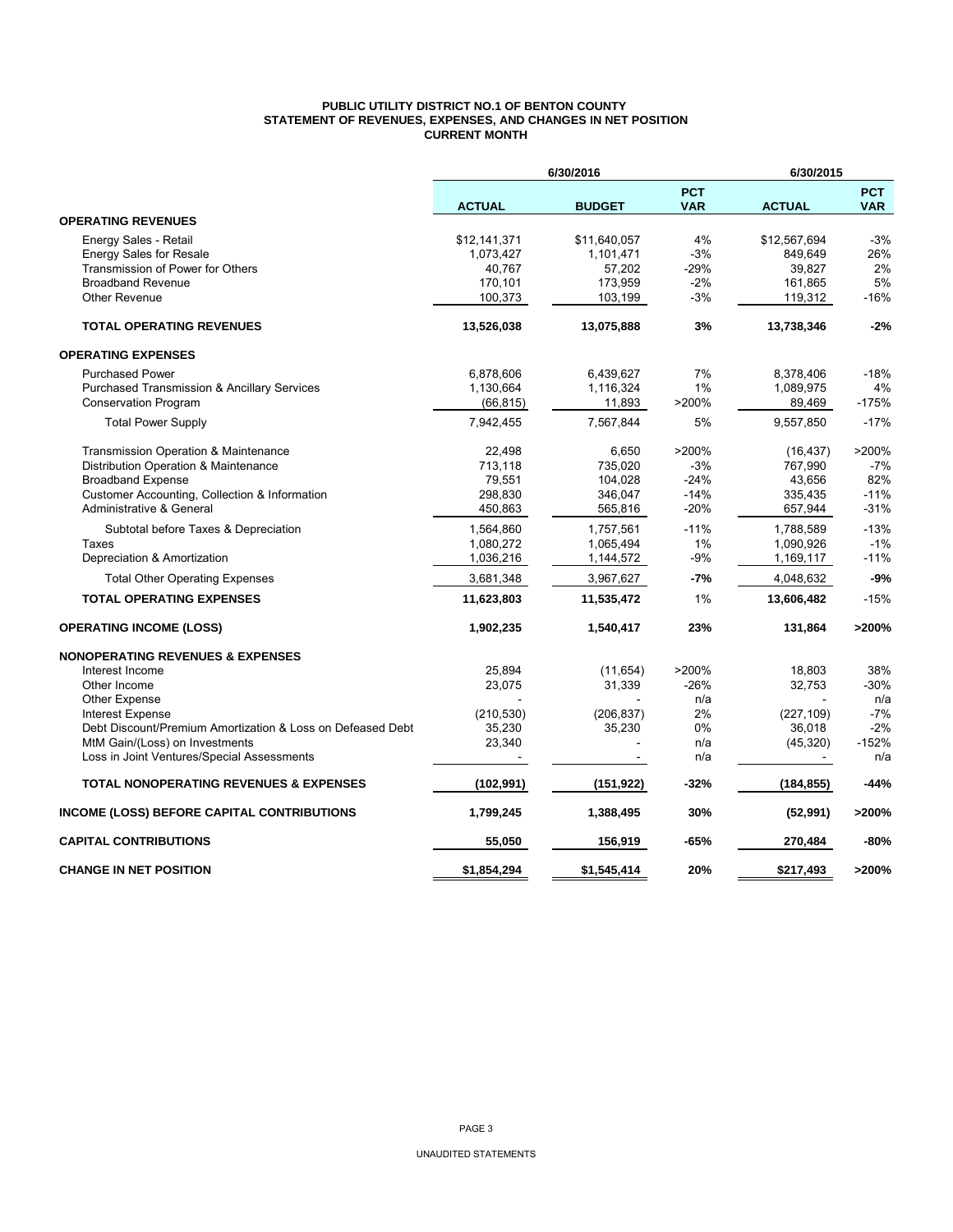## **PUBLIC UTILITY DISTRICT NO.1 OF BENTON COUNTY STATEMENT OF REVENUES, EXPENSES, AND CHANGES IN NET POSITION CURRENT MONTH**

|                                                            | 6/30/2016     |               | 6/30/2015                |               |                          |  |
|------------------------------------------------------------|---------------|---------------|--------------------------|---------------|--------------------------|--|
|                                                            | <b>ACTUAL</b> | <b>BUDGET</b> | <b>PCT</b><br><b>VAR</b> | <b>ACTUAL</b> | <b>PCT</b><br><b>VAR</b> |  |
| <b>OPERATING REVENUES</b>                                  |               |               |                          |               |                          |  |
| Energy Sales - Retail                                      | \$12,141,371  | \$11,640,057  | 4%                       | \$12,567,694  | $-3%$                    |  |
| <b>Energy Sales for Resale</b>                             | 1,073,427     | 1,101,471     | $-3%$                    | 849.649       | 26%                      |  |
| Transmission of Power for Others                           | 40,767        | 57,202        | -29%                     | 39,827        | 2%                       |  |
| <b>Broadband Revenue</b>                                   | 170,101       | 173,959       | $-2%$                    | 161,865       | 5%                       |  |
| <b>Other Revenue</b>                                       | 100,373       | 103,199       | $-3%$                    | 119,312       | $-16%$                   |  |
| <b>TOTAL OPERATING REVENUES</b>                            | 13,526,038    | 13,075,888    | 3%                       | 13,738,346    | $-2%$                    |  |
| <b>OPERATING EXPENSES</b>                                  |               |               |                          |               |                          |  |
| <b>Purchased Power</b>                                     | 6,878,606     | 6,439,627     | 7%                       | 8,378,406     | $-18%$                   |  |
| <b>Purchased Transmission &amp; Ancillary Services</b>     | 1,130,664     | 1,116,324     | 1%                       | 1,089,975     | 4%                       |  |
| <b>Conservation Program</b>                                | (66, 815)     | 11,893        | >200%                    | 89,469        | $-175%$                  |  |
| <b>Total Power Supply</b>                                  | 7,942,455     | 7,567,844     | 5%                       | 9,557,850     | $-17%$                   |  |
| <b>Transmission Operation &amp; Maintenance</b>            | 22.498        | 6,650         | >200%                    | (16, 437)     | >200%                    |  |
| Distribution Operation & Maintenance                       | 713,118       | 735,020       | $-3%$                    | 767,990       | $-7%$                    |  |
| <b>Broadband Expense</b>                                   | 79,551        | 104,028       | $-24%$                   | 43,656        | 82%                      |  |
| Customer Accounting, Collection & Information              | 298,830       | 346,047       | $-14%$                   | 335.435       | $-11%$                   |  |
| Administrative & General                                   | 450,863       | 565,816       | $-20%$                   | 657,944       | $-31%$                   |  |
| Subtotal before Taxes & Depreciation                       | 1,564,860     | 1,757,561     | $-11%$                   | 1,788,589     | $-13%$                   |  |
| Taxes                                                      | 1,080,272     | 1,065,494     | 1%                       | 1,090,926     | $-1%$                    |  |
| Depreciation & Amortization                                | 1,036,216     | 1,144,572     | $-9%$                    | 1,169,117     | $-11%$                   |  |
| <b>Total Other Operating Expenses</b>                      | 3,681,348     | 3,967,627     | $-7%$                    | 4,048,632     | $-9%$                    |  |
| <b>TOTAL OPERATING EXPENSES</b>                            | 11,623,803    | 11,535,472    | 1%                       | 13,606,482    | $-15%$                   |  |
| <b>OPERATING INCOME (LOSS)</b>                             | 1,902,235     | 1,540,417     | 23%                      | 131,864       | >200%                    |  |
| <b>NONOPERATING REVENUES &amp; EXPENSES</b>                |               |               |                          |               |                          |  |
| Interest Income                                            | 25,894        | (11, 654)     | >200%                    | 18,803        | 38%                      |  |
| Other Income                                               | 23,075        | 31,339        | $-26%$                   | 32,753        | -30%                     |  |
| <b>Other Expense</b>                                       |               |               | n/a                      |               | n/a                      |  |
| <b>Interest Expense</b>                                    | (210, 530)    | (206, 837)    | 2%                       | (227, 109)    | $-7%$                    |  |
| Debt Discount/Premium Amortization & Loss on Defeased Debt | 35,230        | 35,230        | 0%                       | 36,018        | $-2%$                    |  |
| MtM Gain/(Loss) on Investments                             | 23,340        |               | n/a                      | (45, 320)     | $-152%$                  |  |
| Loss in Joint Ventures/Special Assessments                 |               |               | n/a                      |               | n/a                      |  |
| <b>TOTAL NONOPERATING REVENUES &amp; EXPENSES</b>          | (102, 991)    | (151, 922)    | -32%                     | (184,855)     | -44%                     |  |
| INCOME (LOSS) BEFORE CAPITAL CONTRIBUTIONS                 | 1,799,245     | 1,388,495     | 30%                      | (52, 991)     | >200%                    |  |
| <b>CAPITAL CONTRIBUTIONS</b>                               | 55,050        | 156,919       | -65%                     | 270,484       | -80%                     |  |
| <b>CHANGE IN NET POSITION</b>                              | \$1,854,294   | \$1,545,414   | 20%                      | \$217.493     | >200%                    |  |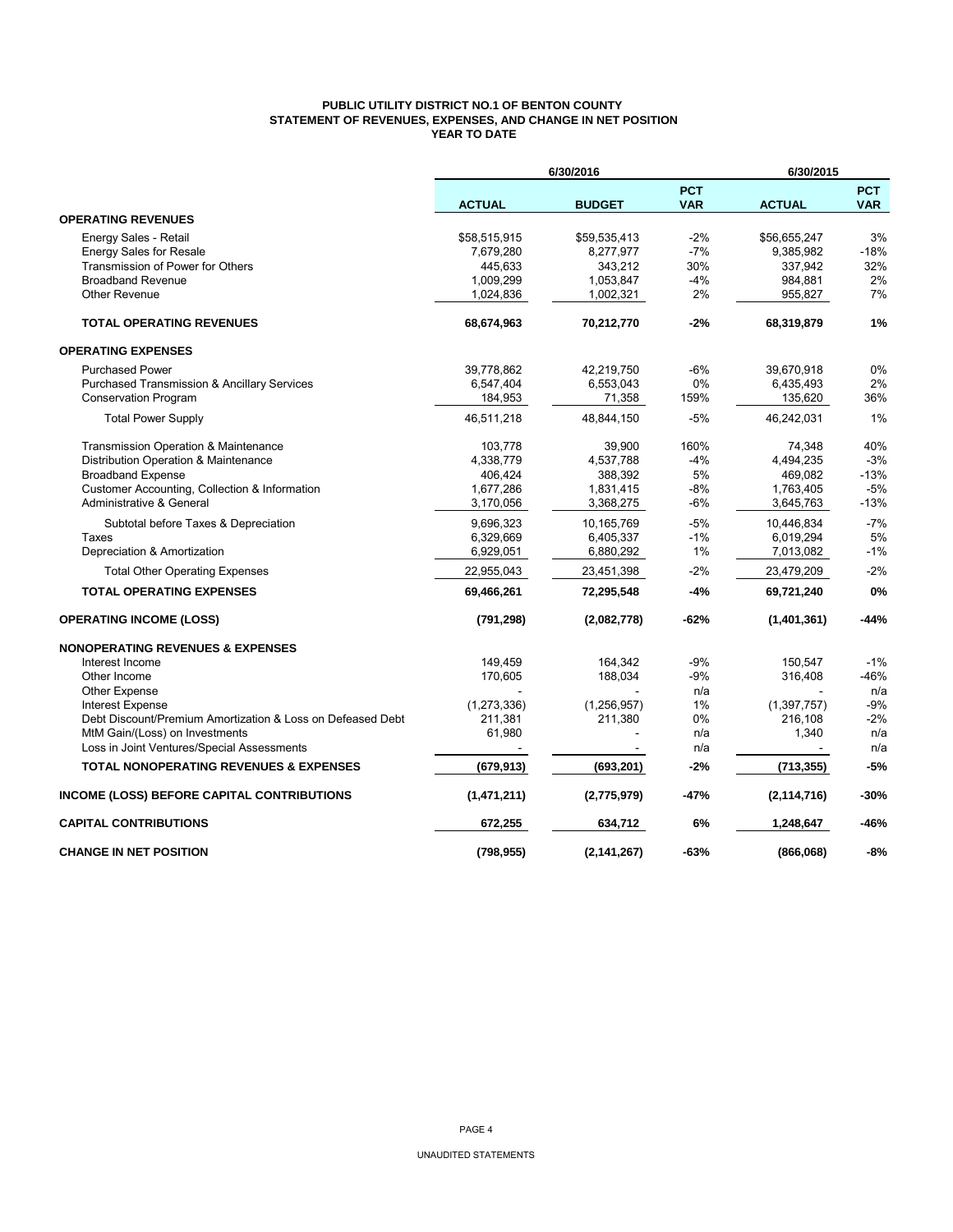## **PUBLIC UTILITY DISTRICT NO.1 OF BENTON COUNTY STATEMENT OF REVENUES, EXPENSES, AND CHANGE IN NET POSITION YEAR TO DATE**

|                                                                                | 6/30/2016         |               |                          | 6/30/2015        |                          |  |
|--------------------------------------------------------------------------------|-------------------|---------------|--------------------------|------------------|--------------------------|--|
|                                                                                | <b>ACTUAL</b>     | <b>BUDGET</b> | <b>PCT</b><br><b>VAR</b> | <b>ACTUAL</b>    | <b>PCT</b><br><b>VAR</b> |  |
| <b>OPERATING REVENUES</b>                                                      |                   |               |                          |                  |                          |  |
| Energy Sales - Retail                                                          | \$58,515,915      | \$59,535,413  | $-2%$                    | \$56.655.247     | 3%                       |  |
| <b>Energy Sales for Resale</b>                                                 | 7,679,280         | 8,277,977     | $-7%$                    | 9,385,982        | $-18%$                   |  |
| Transmission of Power for Others                                               | 445,633           | 343,212       | 30%                      | 337,942          | 32%                      |  |
| <b>Broadband Revenue</b>                                                       | 1,009,299         | 1,053,847     | $-4%$                    | 984,881          | 2%                       |  |
| Other Revenue                                                                  | 1,024,836         | 1,002,321     | 2%                       | 955,827          | 7%                       |  |
| <b>TOTAL OPERATING REVENUES</b>                                                | 68,674,963        | 70,212,770    | $-2%$                    | 68,319,879       | 1%                       |  |
| <b>OPERATING EXPENSES</b>                                                      |                   |               |                          |                  |                          |  |
| <b>Purchased Power</b>                                                         | 39,778,862        | 42,219,750    | -6%                      | 39,670,918       | 0%                       |  |
| <b>Purchased Transmission &amp; Ancillary Services</b>                         | 6,547,404         | 6,553,043     | 0%                       | 6,435,493        | 2%                       |  |
| <b>Conservation Program</b>                                                    | 184,953           | 71,358        | 159%                     | 135,620          | 36%                      |  |
| <b>Total Power Supply</b>                                                      | 46,511,218        | 48,844,150    | $-5%$                    | 46,242,031       | 1%                       |  |
| Transmission Operation & Maintenance                                           | 103,778           | 39,900        | 160%                     | 74,348           | 40%                      |  |
| Distribution Operation & Maintenance                                           | 4,338,779         | 4,537,788     | $-4%$                    | 4,494,235        | $-3%$                    |  |
| <b>Broadband Expense</b>                                                       | 406,424           | 388,392       | 5%                       | 469,082          | $-13%$                   |  |
| Customer Accounting, Collection & Information                                  | 1,677,286         | 1,831,415     | $-8%$                    | 1,763,405        | $-5%$                    |  |
| Administrative & General                                                       | 3,170,056         | 3,368,275     | $-6%$                    | 3,645,763        | $-13%$                   |  |
| Subtotal before Taxes & Depreciation                                           | 9,696,323         | 10,165,769    | $-5%$                    | 10,446,834       | $-7%$                    |  |
| Taxes                                                                          | 6,329,669         | 6,405,337     | $-1%$                    | 6,019,294        | 5%                       |  |
| Depreciation & Amortization                                                    | 6,929,051         | 6,880,292     | 1%                       | 7,013,082        | $-1%$                    |  |
| <b>Total Other Operating Expenses</b>                                          | 22,955,043        | 23,451,398    | $-2%$                    | 23,479,209       | $-2%$                    |  |
| <b>TOTAL OPERATING EXPENSES</b>                                                | 69,466,261        | 72,295,548    | -4%                      | 69,721,240       | 0%                       |  |
| <b>OPERATING INCOME (LOSS)</b>                                                 | (791, 298)        | (2,082,778)   | -62%                     | (1,401,361)      | -44%                     |  |
| <b>NONOPERATING REVENUES &amp; EXPENSES</b>                                    |                   |               |                          |                  |                          |  |
| Interest Income                                                                | 149,459           | 164,342       | $-9%$                    | 150,547          | $-1%$                    |  |
| Other Income                                                                   | 170,605           | 188,034       | $-9%$                    | 316,408          | $-46%$                   |  |
| Other Expense                                                                  |                   |               | n/a                      |                  | n/a                      |  |
| Interest Expense<br>Debt Discount/Premium Amortization & Loss on Defeased Debt | (1,273,336)       | (1,256,957)   | 1%                       | (1, 397, 757)    | -9%                      |  |
| MtM Gain/(Loss) on Investments                                                 | 211,381<br>61,980 | 211,380       | 0%<br>n/a                | 216,108<br>1,340 | $-2%$<br>n/a             |  |
| Loss in Joint Ventures/Special Assessments                                     |                   |               | n/a                      |                  | n/a                      |  |
|                                                                                |                   |               |                          |                  |                          |  |
| <b>TOTAL NONOPERATING REVENUES &amp; EXPENSES</b>                              | (679, 913)        | (693, 201)    | $-2%$                    | (713, 355)       | $-5%$                    |  |
| INCOME (LOSS) BEFORE CAPITAL CONTRIBUTIONS                                     | (1,471,211)       | (2,775,979)   | -47%                     | (2, 114, 716)    | $-30%$                   |  |
| <b>CAPITAL CONTRIBUTIONS</b>                                                   | 672,255           | 634,712       | 6%                       | 1,248,647        | $-46%$                   |  |
| <b>CHANGE IN NET POSITION</b>                                                  | (798, 955)        | (2, 141, 267) | -63%                     | (866,068)        | -8%                      |  |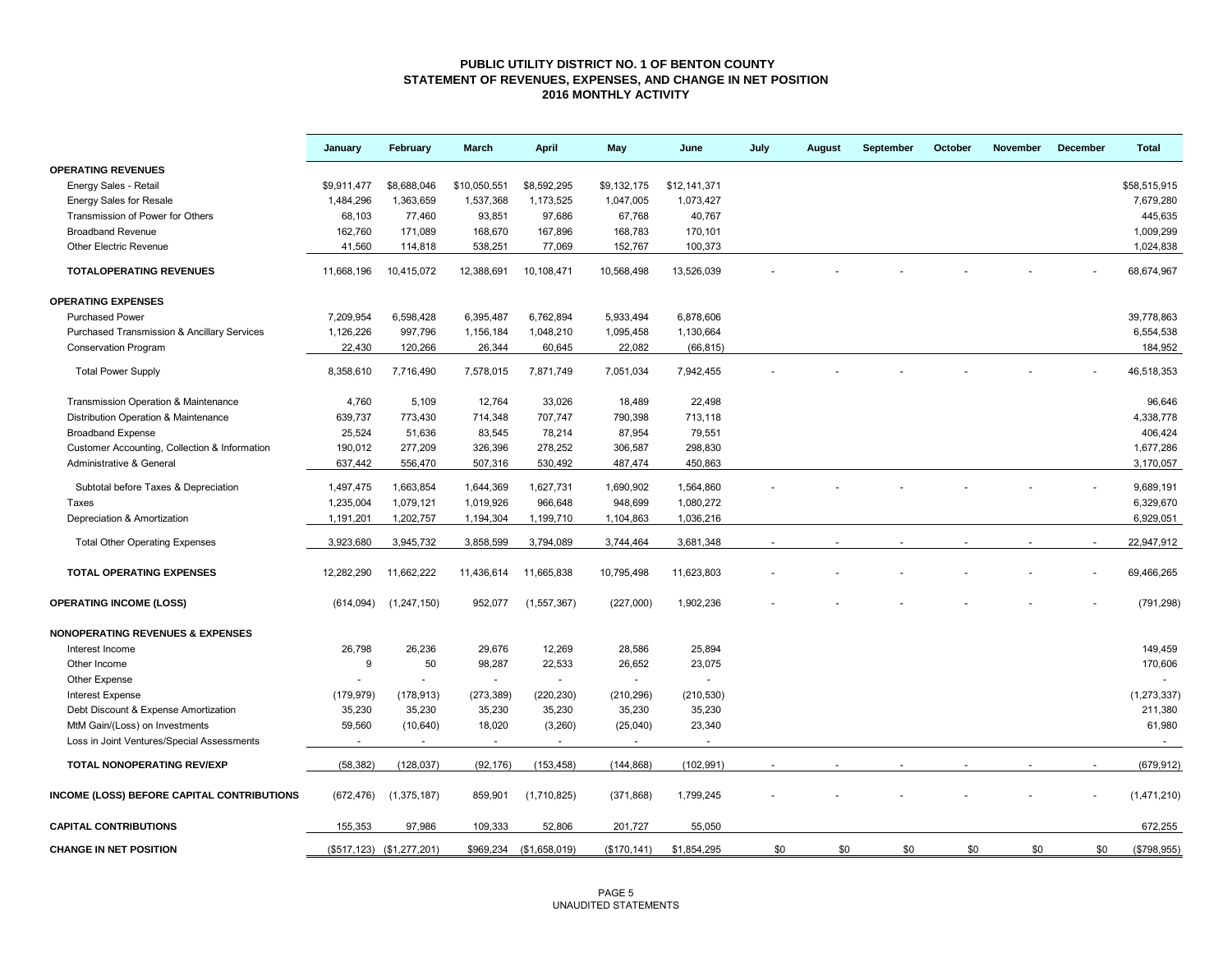## **PUBLIC UTILITY DISTRICT NO. 1 OF BENTON COUNTY STATEMENT OF REVENUES, EXPENSES, AND CHANGE IN NET POSITION 2016 MONTHLY ACTIVITY**

|                                                        | January     | February                  | March        | <b>April</b>             | May          | June         | July | August | September | October | November | December | <b>Total</b>  |
|--------------------------------------------------------|-------------|---------------------------|--------------|--------------------------|--------------|--------------|------|--------|-----------|---------|----------|----------|---------------|
| <b>OPERATING REVENUES</b>                              |             |                           |              |                          |              |              |      |        |           |         |          |          |               |
| Energy Sales - Retail                                  | \$9,911,477 | \$8,688,046               | \$10,050,551 | \$8,592,295              | \$9,132,175  | \$12,141,371 |      |        |           |         |          |          | \$58.515.915  |
| <b>Energy Sales for Resale</b>                         | 1,484,296   | 1,363,659                 | 1,537,368    | 1,173,525                | 1,047,005    | 1,073,427    |      |        |           |         |          |          | 7,679,280     |
| Transmission of Power for Others                       | 68,103      | 77,460                    | 93,851       | 97,686                   | 67,768       | 40,767       |      |        |           |         |          |          | 445,635       |
| <b>Broadband Revenue</b>                               | 162,760     | 171,089                   | 168,670      | 167,896                  | 168,783      | 170,101      |      |        |           |         |          |          | 1,009,299     |
| <b>Other Electric Revenue</b>                          | 41.560      | 114,818                   | 538,251      | 77,069                   | 152,767      | 100,373      |      |        |           |         |          |          | 1,024,838     |
| <b>TOTALOPERATING REVENUES</b>                         | 11,668,196  | 10,415,072                | 12,388,691   | 10,108,471               | 10,568,498   | 13,526,039   |      |        |           |         |          |          | 68,674,967    |
| <b>OPERATING EXPENSES</b>                              |             |                           |              |                          |              |              |      |        |           |         |          |          |               |
| <b>Purchased Power</b>                                 | 7,209,954   | 6,598,428                 | 6,395,487    | 6,762,894                | 5,933,494    | 6,878,606    |      |        |           |         |          |          | 39,778,863    |
| <b>Purchased Transmission &amp; Ancillary Services</b> | 1,126,226   | 997,796                   | 1,156,184    | 1,048,210                | 1,095,458    | 1,130,664    |      |        |           |         |          |          | 6,554,538     |
| <b>Conservation Program</b>                            | 22,430      | 120,266                   | 26,344       | 60,645                   | 22,082       | (66, 815)    |      |        |           |         |          |          | 184,952       |
| <b>Total Power Supply</b>                              | 8,358,610   | 7,716,490                 | 7,578,015    | 7,871,749                | 7,051,034    | 7,942,455    |      |        |           |         |          |          | 46,518,353    |
| Transmission Operation & Maintenance                   | 4,760       | 5,109                     | 12,764       | 33,026                   | 18,489       | 22,498       |      |        |           |         |          |          | 96,646        |
| Distribution Operation & Maintenance                   | 639,737     | 773,430                   | 714,348      | 707,747                  | 790,398      | 713,118      |      |        |           |         |          |          | 4,338,778     |
| <b>Broadband Expense</b>                               | 25,524      | 51,636                    | 83,545       | 78,214                   | 87,954       | 79,551       |      |        |           |         |          |          | 406,424       |
| Customer Accounting, Collection & Information          | 190,012     | 277,209                   | 326,396      | 278,252                  | 306,587      | 298,830      |      |        |           |         |          |          | 1,677,286     |
| Administrative & General                               | 637,442     | 556,470                   | 507,316      | 530,492                  | 487,474      | 450,863      |      |        |           |         |          |          | 3,170,057     |
|                                                        |             |                           |              |                          |              |              |      |        |           |         |          |          |               |
| Subtotal before Taxes & Depreciation                   | 1,497,475   | 1,663,854                 | 1,644,369    | 1,627,731                | 1,690,902    | 1,564,860    |      |        |           |         |          |          | 9,689,191     |
| Taxes                                                  | 1,235,004   | 1,079,121                 | 1,019,926    | 966,648                  | 948,699      | 1,080,272    |      |        |           |         |          |          | 6,329,670     |
| Depreciation & Amortization                            | 1,191,201   | 1,202,757                 | 1,194,304    | 1,199,710                | 1,104,863    | 1,036,216    |      |        |           |         |          |          | 6,929,051     |
| <b>Total Other Operating Expenses</b>                  | 3,923,680   | 3,945,732                 | 3,858,599    | 3,794,089                | 3,744,464    | 3,681,348    |      |        |           |         |          |          | 22,947,912    |
| TOTAL OPERATING EXPENSES                               | 12,282,290  | 11,662,222                | 11,436,614   | 11,665,838               | 10,795,498   | 11,623,803   |      |        |           |         |          |          | 69,466,265    |
| <b>OPERATING INCOME (LOSS)</b>                         | (614, 094)  | (1, 247, 150)             | 952,077      | (1, 557, 367)            | (227,000)    | 1,902,236    |      |        |           |         |          |          | (791, 298)    |
| <b>NONOPERATING REVENUES &amp; EXPENSES</b>            |             |                           |              |                          |              |              |      |        |           |         |          |          |               |
| Interest Income                                        | 26,798      | 26,236                    | 29,676       | 12,269                   | 28,586       | 25,894       |      |        |           |         |          |          | 149,459       |
| Other Income                                           | 9           | 50                        | 98,287       | 22,533                   | 26,652       | 23,075       |      |        |           |         |          |          | 170,606       |
| Other Expense                                          |             |                           | $\sim$       | $\sim$                   |              | $\sim$       |      |        |           |         |          |          |               |
| Interest Expense                                       | (179, 979)  | (178, 913)                | (273, 389)   | (220, 230)               | (210, 296)   | (210, 530)   |      |        |           |         |          |          | (1, 273, 337) |
| Debt Discount & Expense Amortization                   | 35,230      | 35,230                    | 35,230       | 35,230                   | 35,230       | 35,230       |      |        |           |         |          |          | 211,380       |
| MtM Gain/(Loss) on Investments                         | 59,560      | (10, 640)                 | 18,020       | (3,260)                  | (25,040)     | 23,340       |      |        |           |         |          |          | 61,980        |
| Loss in Joint Ventures/Special Assessments             | $\sim$      | $\sim$                    | $\sim$       | $\overline{\phantom{a}}$ | $\sim$       | $\sim$       |      |        |           |         |          |          | $\sim$        |
| TOTAL NONOPERATING REV/EXP                             | (58, 382)   | (128, 037)                | (92, 176)    | (153, 458)               | (144, 868)   | (102, 991)   |      |        |           |         |          |          | (679, 912)    |
| <b>INCOME (LOSS) BEFORE CAPITAL CONTRIBUTIONS</b>      | (672, 476)  | (1, 375, 187)             | 859,901      | (1,710,825)              | (371, 868)   | 1,799,245    |      |        |           |         |          |          | (1,471,210)   |
| <b>CAPITAL CONTRIBUTIONS</b>                           | 155,353     | 97,986                    | 109,333      | 52,806                   | 201,727      | 55,050       |      |        |           |         |          |          | 672,255       |
| <b>CHANGE IN NET POSITION</b>                          |             | (\$517,123) (\$1,277,201) | \$969,234    | (\$1,658,019)            | (\$170, 141) | \$1,854,295  | \$0  | \$0    | \$0       | \$0     | \$0      | \$0      | (\$798,955)   |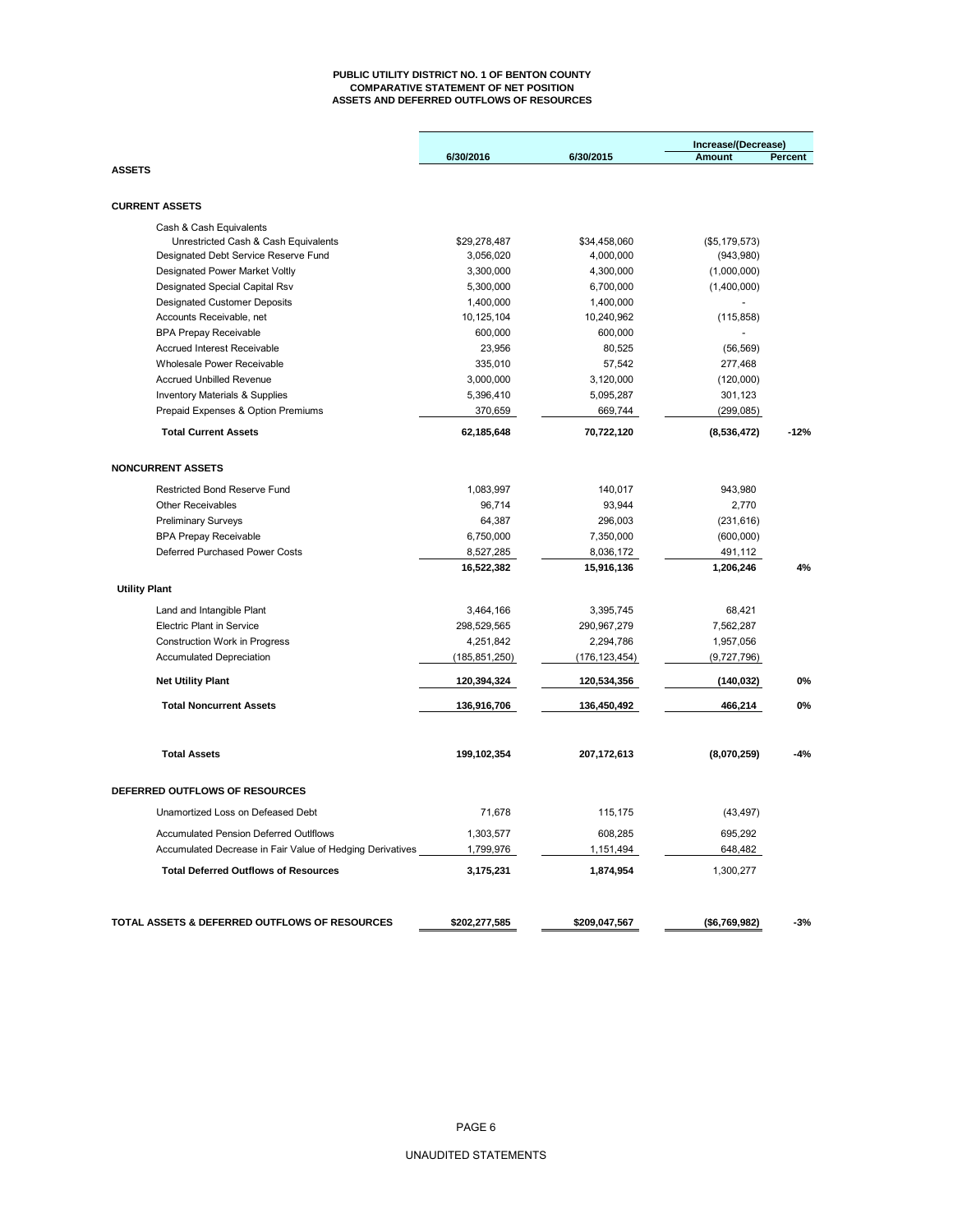#### **PUBLIC UTILITY DISTRICT NO. 1 OF BENTON COUNTY COMPARATIVE STATEMENT OF NET POSITION ASSETS AND DEFERRED OUTFLOWS OF RESOURCES**

| 6/30/2016<br>6/30/2015<br>Amount<br><b>ASSETS</b><br><b>CURRENT ASSETS</b><br>Cash & Cash Equivalents<br>Unrestricted Cash & Cash Equivalents<br>\$29,278,487<br>\$34,458,060<br>(\$5,179,573)<br>Designated Debt Service Reserve Fund<br>3,056,020<br>4,000,000<br>(943,980)<br><b>Designated Power Market Voltly</b><br>3,300,000<br>4,300,000<br>(1,000,000)<br>Designated Special Capital Rsv<br>5,300,000<br>6,700,000<br>(1,400,000)<br>1,400,000<br>1,400,000<br><b>Designated Customer Deposits</b><br>Accounts Receivable, net<br>10,125,104<br>10,240,962<br>(115, 858)<br><b>BPA Prepay Receivable</b><br>600,000<br>600,000<br><b>Accrued Interest Receivable</b><br>23,956<br>80,525<br>(56, 569)<br>Wholesale Power Receivable<br>335,010<br>57,542<br>277,468<br><b>Accrued Unbilled Revenue</b><br>3,000,000<br>3,120,000<br>(120,000)<br>5,396,410<br>301,123<br><b>Inventory Materials &amp; Supplies</b><br>5,095,287<br>Prepaid Expenses & Option Premiums<br>370,659<br>669,744<br>(299, 085)<br><b>Total Current Assets</b><br>62,185,648<br>70,722,120<br>(8,536,472) | Percent |
|----------------------------------------------------------------------------------------------------------------------------------------------------------------------------------------------------------------------------------------------------------------------------------------------------------------------------------------------------------------------------------------------------------------------------------------------------------------------------------------------------------------------------------------------------------------------------------------------------------------------------------------------------------------------------------------------------------------------------------------------------------------------------------------------------------------------------------------------------------------------------------------------------------------------------------------------------------------------------------------------------------------------------------------------------------------------------------------------|---------|
|                                                                                                                                                                                                                                                                                                                                                                                                                                                                                                                                                                                                                                                                                                                                                                                                                                                                                                                                                                                                                                                                                              |         |
|                                                                                                                                                                                                                                                                                                                                                                                                                                                                                                                                                                                                                                                                                                                                                                                                                                                                                                                                                                                                                                                                                              |         |
|                                                                                                                                                                                                                                                                                                                                                                                                                                                                                                                                                                                                                                                                                                                                                                                                                                                                                                                                                                                                                                                                                              |         |
|                                                                                                                                                                                                                                                                                                                                                                                                                                                                                                                                                                                                                                                                                                                                                                                                                                                                                                                                                                                                                                                                                              |         |
|                                                                                                                                                                                                                                                                                                                                                                                                                                                                                                                                                                                                                                                                                                                                                                                                                                                                                                                                                                                                                                                                                              |         |
|                                                                                                                                                                                                                                                                                                                                                                                                                                                                                                                                                                                                                                                                                                                                                                                                                                                                                                                                                                                                                                                                                              |         |
|                                                                                                                                                                                                                                                                                                                                                                                                                                                                                                                                                                                                                                                                                                                                                                                                                                                                                                                                                                                                                                                                                              |         |
|                                                                                                                                                                                                                                                                                                                                                                                                                                                                                                                                                                                                                                                                                                                                                                                                                                                                                                                                                                                                                                                                                              |         |
|                                                                                                                                                                                                                                                                                                                                                                                                                                                                                                                                                                                                                                                                                                                                                                                                                                                                                                                                                                                                                                                                                              |         |
|                                                                                                                                                                                                                                                                                                                                                                                                                                                                                                                                                                                                                                                                                                                                                                                                                                                                                                                                                                                                                                                                                              |         |
|                                                                                                                                                                                                                                                                                                                                                                                                                                                                                                                                                                                                                                                                                                                                                                                                                                                                                                                                                                                                                                                                                              |         |
|                                                                                                                                                                                                                                                                                                                                                                                                                                                                                                                                                                                                                                                                                                                                                                                                                                                                                                                                                                                                                                                                                              |         |
|                                                                                                                                                                                                                                                                                                                                                                                                                                                                                                                                                                                                                                                                                                                                                                                                                                                                                                                                                                                                                                                                                              |         |
|                                                                                                                                                                                                                                                                                                                                                                                                                                                                                                                                                                                                                                                                                                                                                                                                                                                                                                                                                                                                                                                                                              |         |
|                                                                                                                                                                                                                                                                                                                                                                                                                                                                                                                                                                                                                                                                                                                                                                                                                                                                                                                                                                                                                                                                                              |         |
|                                                                                                                                                                                                                                                                                                                                                                                                                                                                                                                                                                                                                                                                                                                                                                                                                                                                                                                                                                                                                                                                                              |         |
|                                                                                                                                                                                                                                                                                                                                                                                                                                                                                                                                                                                                                                                                                                                                                                                                                                                                                                                                                                                                                                                                                              | $-12%$  |
| <b>NONCURRENT ASSETS</b>                                                                                                                                                                                                                                                                                                                                                                                                                                                                                                                                                                                                                                                                                                                                                                                                                                                                                                                                                                                                                                                                     |         |
| <b>Restricted Bond Reserve Fund</b><br>1,083,997<br>140,017<br>943,980                                                                                                                                                                                                                                                                                                                                                                                                                                                                                                                                                                                                                                                                                                                                                                                                                                                                                                                                                                                                                       |         |
| 96,714<br>93,944<br><b>Other Receivables</b><br>2,770                                                                                                                                                                                                                                                                                                                                                                                                                                                                                                                                                                                                                                                                                                                                                                                                                                                                                                                                                                                                                                        |         |
| 296,003<br><b>Preliminary Surveys</b><br>64,387<br>(231, 616)                                                                                                                                                                                                                                                                                                                                                                                                                                                                                                                                                                                                                                                                                                                                                                                                                                                                                                                                                                                                                                |         |
| 6,750,000<br>7,350,000<br>(600,000)<br><b>BPA Prepay Receivable</b>                                                                                                                                                                                                                                                                                                                                                                                                                                                                                                                                                                                                                                                                                                                                                                                                                                                                                                                                                                                                                          |         |
| Deferred Purchased Power Costs<br>8,527,285<br>8,036,172<br>491,112                                                                                                                                                                                                                                                                                                                                                                                                                                                                                                                                                                                                                                                                                                                                                                                                                                                                                                                                                                                                                          |         |
| 16,522,382<br>15,916,136<br>1,206,246                                                                                                                                                                                                                                                                                                                                                                                                                                                                                                                                                                                                                                                                                                                                                                                                                                                                                                                                                                                                                                                        | 4%      |
| <b>Utility Plant</b>                                                                                                                                                                                                                                                                                                                                                                                                                                                                                                                                                                                                                                                                                                                                                                                                                                                                                                                                                                                                                                                                         |         |
|                                                                                                                                                                                                                                                                                                                                                                                                                                                                                                                                                                                                                                                                                                                                                                                                                                                                                                                                                                                                                                                                                              |         |
| Land and Intangible Plant<br>3,464,166<br>3,395,745<br>68,421                                                                                                                                                                                                                                                                                                                                                                                                                                                                                                                                                                                                                                                                                                                                                                                                                                                                                                                                                                                                                                |         |
| <b>Electric Plant in Service</b><br>298,529,565<br>290,967,279<br>7,562,287                                                                                                                                                                                                                                                                                                                                                                                                                                                                                                                                                                                                                                                                                                                                                                                                                                                                                                                                                                                                                  |         |
| 4,251,842<br>Construction Work in Progress<br>2,294,786<br>1,957,056                                                                                                                                                                                                                                                                                                                                                                                                                                                                                                                                                                                                                                                                                                                                                                                                                                                                                                                                                                                                                         |         |
| <b>Accumulated Depreciation</b><br>(9,727,796)<br>(185, 851, 250)<br>(176, 123, 454)                                                                                                                                                                                                                                                                                                                                                                                                                                                                                                                                                                                                                                                                                                                                                                                                                                                                                                                                                                                                         |         |
| <b>Net Utility Plant</b><br>120,394,324<br>120,534,356<br>(140, 032)                                                                                                                                                                                                                                                                                                                                                                                                                                                                                                                                                                                                                                                                                                                                                                                                                                                                                                                                                                                                                         | 0%      |
| <b>Total Noncurrent Assets</b><br>136,916,706<br>136,450,492<br>466,214                                                                                                                                                                                                                                                                                                                                                                                                                                                                                                                                                                                                                                                                                                                                                                                                                                                                                                                                                                                                                      | 0%      |
| <b>Total Assets</b><br>199,102,354<br>207, 172, 613<br>(8,070,259)                                                                                                                                                                                                                                                                                                                                                                                                                                                                                                                                                                                                                                                                                                                                                                                                                                                                                                                                                                                                                           | $-4%$   |
| DEFERRED OUTFLOWS OF RESOURCES                                                                                                                                                                                                                                                                                                                                                                                                                                                                                                                                                                                                                                                                                                                                                                                                                                                                                                                                                                                                                                                               |         |
| Unamortized Loss on Defeased Debt<br>71,678<br>115,175<br>(43, 497)                                                                                                                                                                                                                                                                                                                                                                                                                                                                                                                                                                                                                                                                                                                                                                                                                                                                                                                                                                                                                          |         |
|                                                                                                                                                                                                                                                                                                                                                                                                                                                                                                                                                                                                                                                                                                                                                                                                                                                                                                                                                                                                                                                                                              |         |
| Accumulated Pension Deferred Outlflows<br>1,303,577<br>608,285<br>695,292<br>Accumulated Decrease in Fair Value of Hedging Derivatives<br>1,799,976<br>648,482<br>1,151,494                                                                                                                                                                                                                                                                                                                                                                                                                                                                                                                                                                                                                                                                                                                                                                                                                                                                                                                  |         |
| <b>Total Deferred Outflows of Resources</b><br>3,175,231<br>1,874,954<br>1,300,277                                                                                                                                                                                                                                                                                                                                                                                                                                                                                                                                                                                                                                                                                                                                                                                                                                                                                                                                                                                                           |         |
| TOTAL ASSETS & DEFERRED OUTFLOWS OF RESOURCES<br>\$202,277,585<br>\$209,047,567<br>( \$6,769,982)                                                                                                                                                                                                                                                                                                                                                                                                                                                                                                                                                                                                                                                                                                                                                                                                                                                                                                                                                                                            | $-3%$   |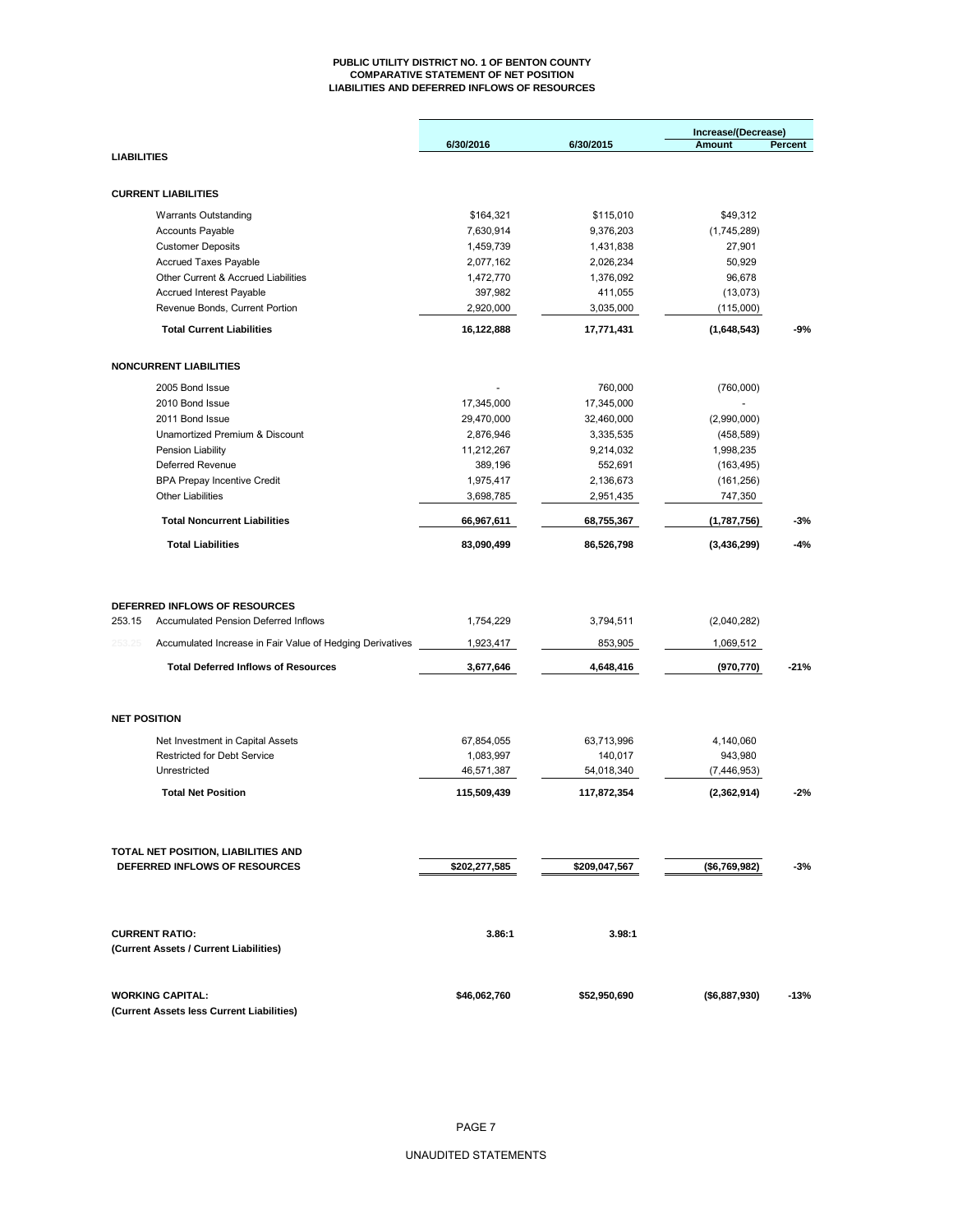#### **PUBLIC UTILITY DISTRICT NO. 1 OF BENTON COUNTY COMPARATIVE STATEMENT OF NET POSITION LIABILITIES AND DEFERRED INFLOWS OF RESOURCES**

|                       |                                                                | 6/30/2016                | 6/30/2015                | Increase/(Decrease)<br><b>Amount</b> | Percent        |
|-----------------------|----------------------------------------------------------------|--------------------------|--------------------------|--------------------------------------|----------------|
| <b>LIABILITIES</b>    |                                                                |                          |                          |                                      |                |
|                       | <b>CURRENT LIABILITIES</b>                                     |                          |                          |                                      |                |
|                       | <b>Warrants Outstanding</b>                                    | \$164,321                | \$115,010                | \$49,312                             |                |
|                       | <b>Accounts Payable</b>                                        | 7,630,914                | 9,376,203                | (1,745,289)                          |                |
|                       | <b>Customer Deposits</b>                                       | 1,459,739                | 1,431,838                | 27,901                               |                |
|                       | <b>Accrued Taxes Payable</b>                                   | 2,077,162                | 2,026,234                | 50,929                               |                |
|                       | Other Current & Accrued Liabilities                            | 1,472,770                | 1,376,092                | 96,678                               |                |
|                       | Accrued Interest Payable                                       | 397,982                  | 411,055                  | (13,073)                             |                |
|                       | Revenue Bonds, Current Portion                                 | 2,920,000                | 3,035,000                | (115,000)                            |                |
|                       | <b>Total Current Liabilities</b>                               | 16,122,888               | 17,771,431               | (1,648,543)                          | $-9%$          |
|                       | <b>NONCURRENT LIABILITIES</b>                                  |                          |                          |                                      |                |
|                       |                                                                |                          |                          |                                      |                |
|                       | 2005 Bond Issue                                                |                          | 760,000                  | (760,000)                            |                |
|                       | 2010 Bond Issue                                                | 17,345,000               | 17,345,000               |                                      |                |
|                       | 2011 Bond Issue                                                | 29,470,000               | 32,460,000               | (2,990,000)                          |                |
|                       | Unamortized Premium & Discount                                 | 2,876,946                | 3,335,535                | (458, 589)                           |                |
|                       | Pension Liability                                              | 11,212,267               | 9,214,032                | 1,998,235                            |                |
|                       | Deferred Revenue                                               | 389,196                  | 552,691                  | (163, 495)                           |                |
|                       | <b>BPA Prepay Incentive Credit</b><br><b>Other Liabilities</b> | 1,975,417                | 2,136,673                | (161, 256)                           |                |
|                       | <b>Total Noncurrent Liabilities</b>                            | 3,698,785                | 2,951,435                | 747,350                              |                |
|                       | <b>Total Liabilities</b>                                       | 66,967,611<br>83,090,499 | 68,755,367<br>86,526,798 | (1,787,756)<br>(3,436,299)           | $-3%$<br>$-4%$ |
|                       |                                                                |                          |                          |                                      |                |
|                       |                                                                |                          |                          |                                      |                |
|                       | DEFERRED INFLOWS OF RESOURCES                                  |                          |                          |                                      |                |
| 253.15                | <b>Accumulated Pension Deferred Inflows</b>                    | 1,754,229                | 3,794,511                | (2,040,282)                          |                |
| 253.25                | Accumulated Increase in Fair Value of Hedging Derivatives      | 1,923,417                | 853,905                  | 1,069,512                            |                |
|                       | <b>Total Deferred Inflows of Resources</b>                     | 3,677,646                | 4,648,416                | (970, 770)                           | $-21%$         |
| <b>NET POSITION</b>   |                                                                |                          |                          |                                      |                |
|                       | Net Investment in Capital Assets                               | 67,854,055               | 63,713,996               | 4,140,060                            |                |
|                       | <b>Restricted for Debt Service</b>                             | 1,083,997                | 140,017                  | 943,980                              |                |
|                       | Unrestricted                                                   | 46,571,387               | 54,018,340               | (7, 446, 953)                        |                |
|                       | <b>Total Net Position</b>                                      | 115,509,439              | 117,872,354              | (2,362,914)                          | $-2%$          |
|                       |                                                                |                          |                          |                                      |                |
|                       | TOTAL NET POSITION, LIABILITIES AND                            |                          |                          |                                      |                |
|                       | DEFERRED INFLOWS OF RESOURCES                                  | \$202,277,585            | \$209,047,567            | (\$6,769,982)                        | $-3%$          |
|                       |                                                                |                          |                          |                                      |                |
|                       |                                                                |                          |                          |                                      |                |
| <b>CURRENT RATIO:</b> |                                                                | 3.86:1                   | 3.98:1                   |                                      |                |
|                       | (Current Assets / Current Liabilities)                         |                          |                          |                                      |                |
|                       | <b>WORKING CAPITAL:</b>                                        | \$46,062,760             | \$52,950,690             | (\$6,887,930)                        | $-13%$         |
|                       | (Current Assets less Current Liabilities)                      |                          |                          |                                      |                |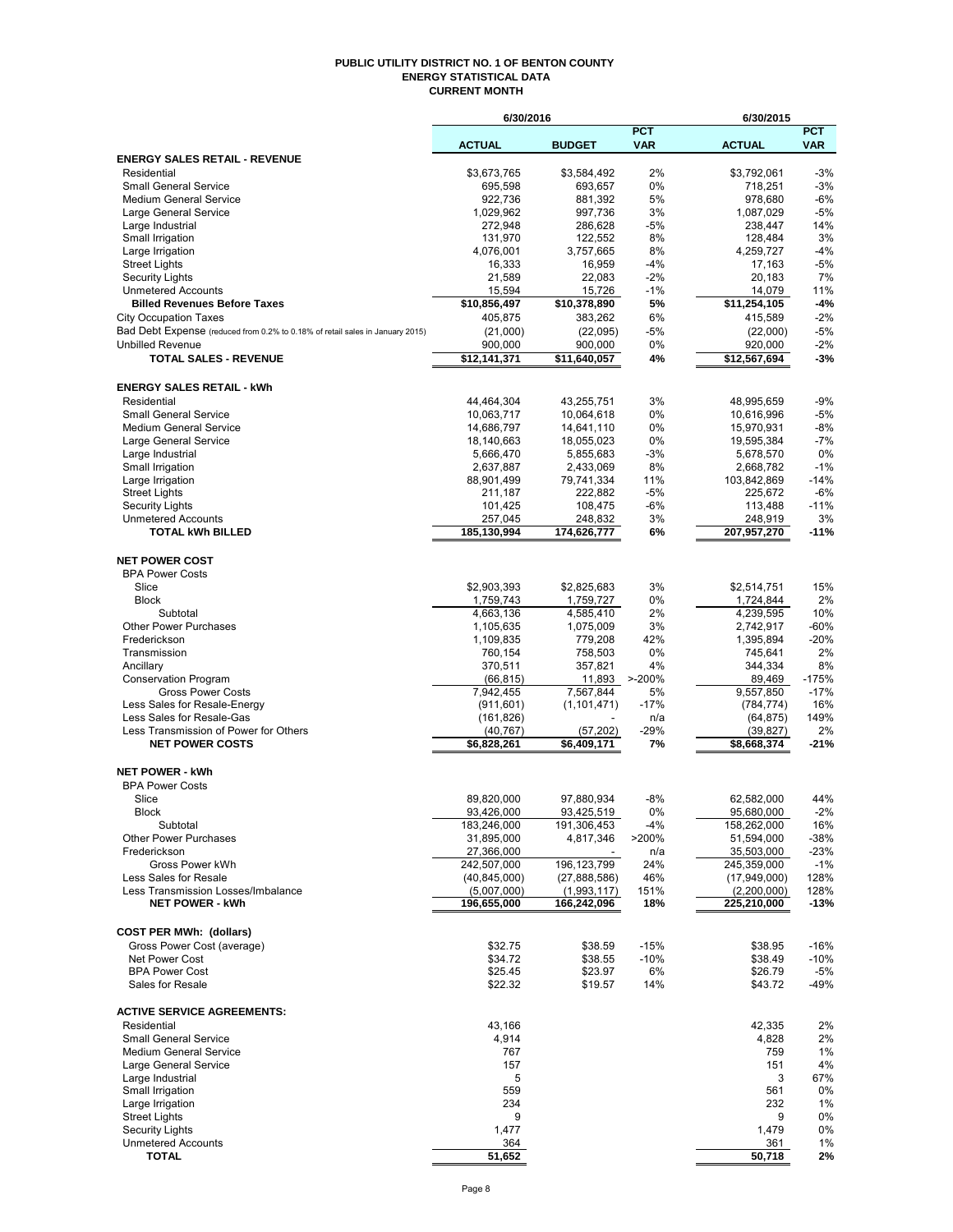#### **PUBLIC UTILITY DISTRICT NO. 1 OF BENTON COUNTY ENERGY STATISTICAL DATA CURRENT MONTH**

|                                                                               | 6/30/2016          |                    |            | 6/30/2015          |                |
|-------------------------------------------------------------------------------|--------------------|--------------------|------------|--------------------|----------------|
|                                                                               |                    |                    | <b>PCT</b> |                    | <b>PCT</b>     |
|                                                                               | <b>ACTUAL</b>      | <b>BUDGET</b>      | <b>VAR</b> | <b>ACTUAL</b>      | <b>VAR</b>     |
| <b>ENERGY SALES RETAIL - REVENUE</b>                                          |                    |                    |            |                    |                |
| Residential                                                                   | \$3,673,765        | \$3,584,492        | 2%<br>0%   | \$3,792,061        | $-3%$          |
| <b>Small General Service</b><br><b>Medium General Service</b>                 | 695,598<br>922,736 | 693,657<br>881,392 | 5%         | 718,251<br>978,680 | $-3%$<br>$-6%$ |
| Large General Service                                                         | 1,029,962          | 997,736            | 3%         | 1,087,029          | $-5%$          |
| Large Industrial                                                              | 272.948            | 286,628            | $-5%$      | 238,447            | 14%            |
| Small Irrigation                                                              | 131,970            | 122,552            | 8%         | 128,484            | 3%             |
| Large Irrigation                                                              | 4,076,001          | 3,757,665          | 8%         | 4,259,727          | $-4%$          |
| <b>Street Lights</b>                                                          | 16,333             | 16,959             | $-4%$      | 17,163             | $-5%$          |
| <b>Security Lights</b>                                                        | 21,589             | 22,083             | $-2%$      | 20,183             | 7%             |
| <b>Unmetered Accounts</b>                                                     | 15,594             | 15,726             | $-1%$      | 14,079             | 11%            |
| <b>Billed Revenues Before Taxes</b>                                           | \$10,856,497       | \$10,378,890       | 5%         | \$11,254,105       | $-4%$          |
| <b>City Occupation Taxes</b>                                                  | 405,875            | 383,262            | 6%         | 415,589            | $-2%$          |
| Bad Debt Expense (reduced from 0.2% to 0.18% of retail sales in January 2015) | (21,000)           | (22,095)           | $-5%$      | (22,000)           | $-5%$          |
| <b>Unbilled Revenue</b>                                                       | 900,000            | 900,000            | 0%         | 920,000            | $-2%$          |
| <b>TOTAL SALES - REVENUE</b>                                                  | \$12,141,371       | \$11,640,057       | 4%         | \$12,567,694       | $-3%$          |
|                                                                               |                    |                    |            |                    |                |
| <b>ENERGY SALES RETAIL - kWh</b>                                              |                    |                    |            |                    |                |
| Residential                                                                   | 44,464,304         | 43,255,751         | 3%         | 48,995,659         | $-9%$          |
| <b>Small General Service</b>                                                  | 10,063,717         | 10,064,618         | 0%         | 10,616,996         | $-5%$          |
| <b>Medium General Service</b>                                                 | 14,686,797         | 14,641,110         | 0%         | 15,970,931         | $-8%$          |
| Large General Service                                                         | 18,140,663         | 18,055,023         | 0%         | 19,595,384         | $-7%$          |
| Large Industrial                                                              | 5,666,470          | 5,855,683          | $-3%$      | 5,678,570          | 0%             |
| Small Irrigation                                                              | 2,637,887          | 2,433,069          | 8%         | 2,668,782          | $-1%$          |
| Large Irrigation                                                              | 88,901,499         | 79,741,334         | 11%        | 103,842,869        | $-14%$         |
| <b>Street Lights</b>                                                          | 211,187            | 222,882            | $-5%$      | 225,672            | $-6%$          |
| <b>Security Lights</b>                                                        | 101,425            | 108,475            | $-6%$      | 113,488            | $-11%$         |
| <b>Unmetered Accounts</b>                                                     | 257,045            | 248,832            | 3%         | 248,919            | 3%             |
| <b>TOTAL kWh BILLED</b>                                                       | 185,130,994        | 174,626,777        | 6%         | 207,957,270        | $-11%$         |
|                                                                               |                    |                    |            |                    |                |
| <b>NET POWER COST</b>                                                         |                    |                    |            |                    |                |
| <b>BPA Power Costs</b>                                                        |                    |                    |            |                    |                |
| Slice                                                                         | \$2,903,393        | \$2,825,683        | 3%         | \$2,514,751        | 15%            |
| <b>Block</b>                                                                  | 1,759,743          | 1,759,727          | 0%         | 1,724,844          | 2%             |
| Subtotal                                                                      | 4,663,136          | 4,585,410          | 2%         | 4,239,595          | 10%            |
| <b>Other Power Purchases</b>                                                  | 1,105,635          | 1,075,009          | 3%         | 2,742,917          | $-60%$         |
| Frederickson                                                                  | 1,109,835          | 779,208            | 42%        | 1,395,894          | $-20%$         |
| Transmission                                                                  | 760,154            | 758,503            | 0%         | 745,641            | 2%             |
| Ancillary                                                                     | 370,511            | 357,821            | 4%         | 344,334            | 8%             |
| <b>Conservation Program</b>                                                   | (66, 815)          | 11,893             | $> -200%$  | 89,469             | $-175%$        |
| <b>Gross Power Costs</b>                                                      | 7,942,455          | 7,567,844          | 5%         | 9,557,850          | $-17%$         |
| Less Sales for Resale-Energy                                                  | (911, 601)         | (1, 101, 471)      | $-17%$     | (784, 774)         | 16%            |
| Less Sales for Resale-Gas                                                     | (161, 826)         |                    | n/a        | (64, 875)          | 149%           |
| Less Transmission of Power for Others                                         | (40, 767)          | (57, 202)          | $-29%$     | (39, 827)          | 2%             |
| <b>NET POWER COSTS</b>                                                        | \$6,828,261        | \$6,409,171        | 7%         | \$8,668,374        | $-21%$         |
|                                                                               |                    |                    |            |                    |                |
| <b>NET POWER - kWh</b>                                                        |                    |                    |            |                    |                |
| <b>BPA Power Costs</b>                                                        |                    |                    |            |                    |                |
| Slice                                                                         | 89,820,000         | 97,880,934         | $-8%$      | 62,582,000         | 44%            |
| Block                                                                         | 93,426,000         | 93,425,519         | 0%         | 95,680,000         | $-2%$          |
| Subtotal                                                                      | 183,246,000        | 191,306,453        | $-4%$      | 158,262,000        | 16%            |
| <b>Other Power Purchases</b>                                                  | 31,895,000         | 4,817,346          | >200%      | 51,594,000         | -38%           |
| Frederickson                                                                  | 27,366,000         |                    | n/a        | 35,503,000         | -23%           |
| Gross Power kWh                                                               | 242,507,000        | 196, 123, 799      | 24%        | 245,359,000        | $-1%$          |
| Less Sales for Resale                                                         | (40, 845, 000)     | (27,888,586)       | 46%        | (17,949,000)       | 128%           |
| Less Transmission Losses/Imbalance                                            | (5,007,000)        | (1,993,117)        | 151%       | (2,200,000)        | 128%           |
| <b>NET POWER - kWh</b>                                                        | 196,655,000        | 166,242,096        | 18%        | 225,210,000        | $-13%$         |
|                                                                               |                    |                    |            |                    |                |
| <b>COST PER MWh: (dollars)</b>                                                |                    |                    |            |                    |                |
| Gross Power Cost (average)                                                    | \$32.75            | \$38.59            | $-15%$     | \$38.95            | $-16%$         |
| Net Power Cost                                                                | \$34.72            | \$38.55            | $-10%$     | \$38.49            | $-10%$         |
| <b>BPA Power Cost</b>                                                         | \$25.45            | \$23.97            | 6%         | \$26.79            | $-5%$          |
| Sales for Resale                                                              | \$22.32            | \$19.57            | 14%        | \$43.72            | $-49%$         |
|                                                                               |                    |                    |            |                    |                |
| <b>ACTIVE SERVICE AGREEMENTS:</b>                                             |                    |                    |            |                    |                |
| Residential                                                                   | 43,166             |                    |            | 42,335             | 2%             |
| <b>Small General Service</b>                                                  | 4,914              |                    |            | 4,828              | 2%             |
| <b>Medium General Service</b>                                                 | 767                |                    |            | 759                | 1%             |
| Large General Service                                                         | 157                |                    |            | 151                | 4%             |
| Large Industrial                                                              | 5                  |                    |            | 3                  | 67%            |
| Small Irrigation                                                              | 559                |                    |            | 561                | 0%             |
| Large Irrigation                                                              | 234                |                    |            | 232                | 1%             |
| <b>Street Lights</b>                                                          | 9                  |                    |            | 9                  | 0%             |
| <b>Security Lights</b>                                                        | 1,477              |                    |            | 1,479              | 0%             |
| <b>Unmetered Accounts</b>                                                     | 364                |                    |            | 361                | 1%             |
| <b>TOTAL</b>                                                                  | 51,652             |                    |            | 50,718             | 2%             |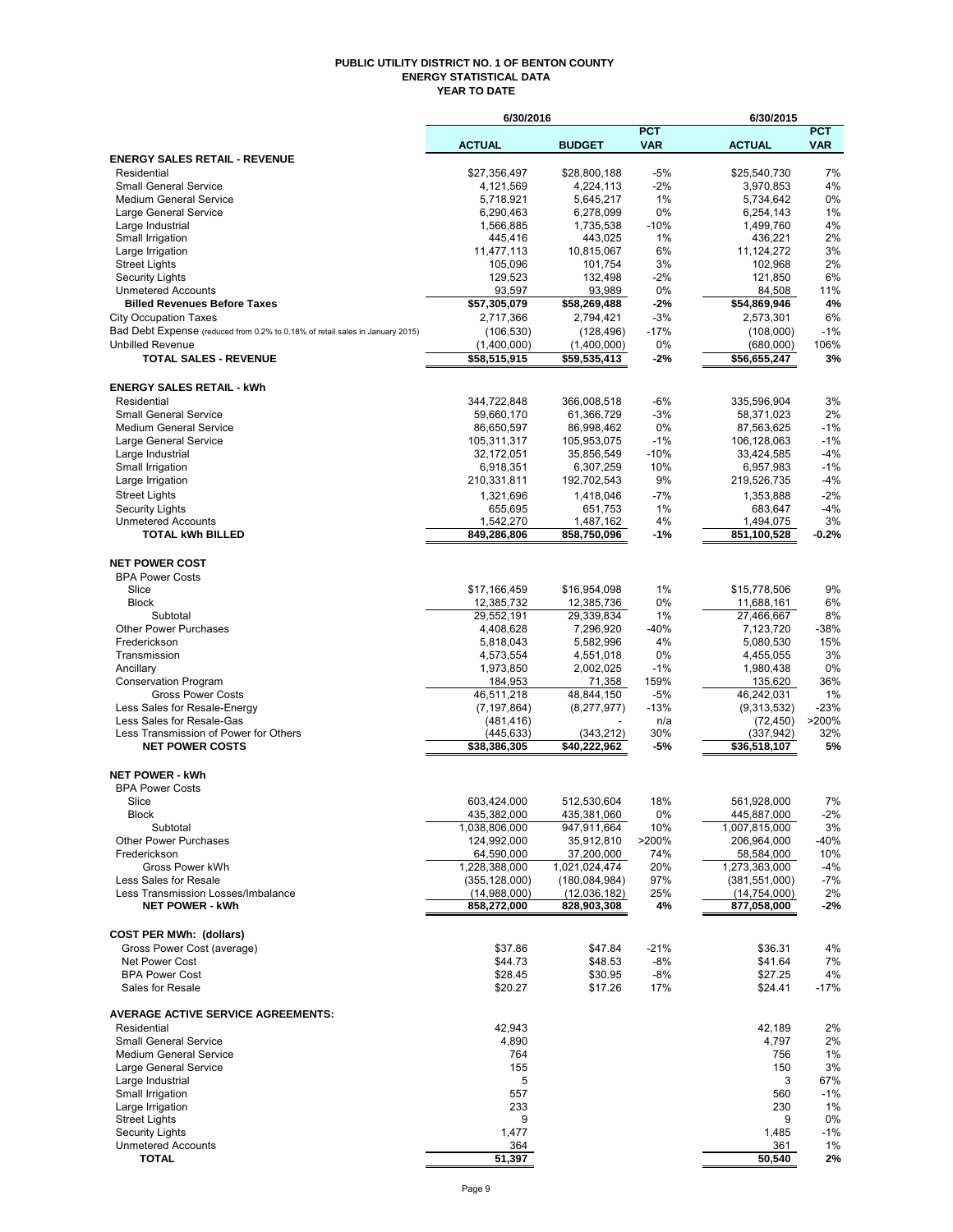#### **PUBLIC UTILITY DISTRICT NO. 1 OF BENTON COUNTY ENERGY STATISTICAL DATA YEAR TO DATE**

|                                                                               | 6/30/2016                       |                                 |                          | 6/30/2015                         |                          |
|-------------------------------------------------------------------------------|---------------------------------|---------------------------------|--------------------------|-----------------------------------|--------------------------|
|                                                                               | <b>ACTUAL</b>                   | <b>BUDGET</b>                   | <b>PCT</b><br><b>VAR</b> | <b>ACTUAL</b>                     | <b>PCT</b><br><b>VAR</b> |
| <b>ENERGY SALES RETAIL - REVENUE</b>                                          |                                 |                                 |                          |                                   |                          |
| Residential                                                                   | \$27,356,497                    | \$28,800,188                    | $-5%$                    | \$25.540.730                      | 7%                       |
| <b>Small General Service</b>                                                  | 4,121,569                       | 4,224,113                       | $-2\%$                   | 3,970,853                         | 4%                       |
| <b>Medium General Service</b>                                                 | 5,718,921<br>6,290,463          | 5,645,217                       | 1%<br>0%                 | 5,734,642<br>6,254,143            | 0%<br>1%                 |
| Large General Service<br>Large Industrial                                     | 1,566,885                       | 6,278,099<br>1,735,538          | $-10%$                   | 1,499,760                         | 4%                       |
| Small Irrigation                                                              | 445,416                         | 443,025                         | 1%                       | 436,221                           | 2%                       |
| Large Irrigation                                                              | 11,477,113                      | 10,815,067                      | 6%                       | 11,124,272                        | 3%                       |
| <b>Street Lights</b>                                                          | 105,096                         | 101,754                         | 3%                       | 102,968                           | 2%                       |
| <b>Security Lights</b>                                                        | 129,523                         | 132,498                         | $-2\%$                   | 121,850                           | 6%                       |
| <b>Unmetered Accounts</b><br><b>Billed Revenues Before Taxes</b>              | 93,597<br>\$57,305,079          | 93,989<br>\$58,269,488          | 0%<br>-2%                | 84,508<br>\$54,869,946            | 11%<br>4%                |
| <b>City Occupation Taxes</b>                                                  | 2,717,366                       | 2,794,421                       | -3%                      | 2,573,301                         | 6%                       |
| Bad Debt Expense (reduced from 0.2% to 0.18% of retail sales in January 2015) | (106, 530)                      | (128, 496)                      | $-17%$                   | (108,000)                         | $-1%$                    |
| <b>Unbilled Revenue</b>                                                       | (1,400,000)                     | (1,400,000)                     | 0%                       | (680,000)                         | 106%                     |
| <b>TOTAL SALES - REVENUE</b>                                                  | \$58,515,915                    | \$59,535,413                    | -2%                      | \$56,655,247                      | 3%                       |
| <b>ENERGY SALES RETAIL - kWh</b>                                              |                                 |                                 |                          |                                   |                          |
| Residential                                                                   | 344,722,848                     | 366,008,518                     | -6%                      | 335,596,904                       | 3%                       |
| <b>Small General Service</b>                                                  | 59,660,170                      | 61,366,729                      | -3%                      | 58,371,023                        | 2%                       |
| <b>Medium General Service</b>                                                 | 86,650,597                      | 86,998,462                      | 0%                       | 87,563,625                        | $-1%$                    |
| Large General Service                                                         | 105,311,317                     | 105,953,075                     | $-1%$                    | 106.128.063                       | $-1%$                    |
| Large Industrial<br>Small Irrigation                                          | 32,172,051                      | 35,856,549<br>6,307,259         | $-10%$<br>10%            | 33,424,585                        | $-4%$<br>$-1%$           |
| Large Irrigation                                                              | 6,918,351<br>210,331,811        | 192,702,543                     | 9%                       | 6,957,983<br>219,526,735          | $-4%$                    |
| <b>Street Lights</b>                                                          | 1,321,696                       | 1,418,046                       | $-7%$                    | 1,353,888                         | $-2%$                    |
| Security Lights                                                               | 655,695                         | 651,753                         | 1%                       | 683,647                           | $-4%$                    |
| <b>Unmetered Accounts</b>                                                     | 1,542,270                       | 1,487,162                       | 4%                       | 1,494,075                         | 3%                       |
| <b>TOTAL kWh BILLED</b>                                                       | 849,286,806                     | 858,750,096                     | -1%                      | 851,100,528                       | $-0.2%$                  |
| <b>NET POWER COST</b>                                                         |                                 |                                 |                          |                                   |                          |
| <b>BPA Power Costs</b>                                                        |                                 |                                 |                          |                                   |                          |
| Slice                                                                         | \$17,166,459                    | \$16,954,098                    | 1%                       | \$15,778,506                      | 9%                       |
| <b>Block</b>                                                                  | 12,385,732                      | 12,385,736                      | 0%                       | 11,688,161                        | 6%                       |
| Subtotal                                                                      | 29,552,191                      | 29,339,834                      | 1%                       | 27,466,667                        | 8%                       |
| <b>Other Power Purchases</b>                                                  | 4,408,628                       | 7,296,920                       | $-40%$                   | 7,123,720                         | $-38%$                   |
| Frederickson<br>Transmission                                                  | 5,818,043<br>4,573,554          | 5,582,996<br>4,551,018          | 4%<br>0%                 | 5,080,530<br>4,455,055            | 15%<br>3%                |
| Ancillary                                                                     | 1,973,850                       | 2,002,025                       | $-1%$                    | 1,980,438                         | 0%                       |
| <b>Conservation Program</b>                                                   | 184,953                         | 71,358                          | 159%                     | 135,620                           | 36%                      |
| <b>Gross Power Costs</b>                                                      | 46,511,218                      | 48,844,150                      | -5%                      | 46,242,031                        | 1%                       |
| Less Sales for Resale-Energy                                                  | (7, 197, 864)                   | (8,277,977)                     | $-13%$                   | (9,313,532)                       | $-23%$                   |
| Less Sales for Resale-Gas                                                     | (481, 416)                      |                                 | n/a                      | (72, 450)                         | >200%                    |
| Less Transmission of Power for Others<br><b>NET POWER COSTS</b>               | (445,633)<br>\$38,386,305       | (343, 212)<br>\$40,222,962      | 30%<br>-5%               | (337, 942)<br>\$36,518,107        | 32%<br>5%                |
|                                                                               |                                 |                                 |                          |                                   |                          |
| <b>NET POWER - kWh</b><br><b>BPA Power Costs</b>                              |                                 |                                 |                          |                                   |                          |
| Slice                                                                         | 603,424,000                     | 512,530,604                     | 18%                      | 561,928,000                       | 7%                       |
| Block                                                                         | 435,382,000                     | 435,381,060                     | $0\%$                    | 445,887,000                       | $-2\%$                   |
| Subtotal                                                                      | 1,038,806,000                   | 947,911,664                     | 10%                      | 1,007,815,000                     | 3%                       |
| <b>Other Power Purchases</b>                                                  | 124,992,000                     | 35,912,810                      | >200%                    | 206,964,000                       | -40%                     |
| Frederickson                                                                  | 64,590,000                      | 37,200,000                      | 74%                      | 58,584,000                        | 10%                      |
| Gross Power kWh                                                               | 1,228,388,000                   | 1,021,024,474                   | 20%                      | 1,273,363,000                     | $-4%$                    |
| Less Sales for Resale<br>Less Transmission Losses/Imbalance                   | (355, 128, 000)<br>(14,988,000) | (180, 084, 984)<br>(12,036,182) | 97%<br>25%               | (381, 551, 000)<br>(14, 754, 000) | $-7%$<br>2%              |
| <b>NET POWER - kWh</b>                                                        | 858,272,000                     | 828,903,308                     | 4%                       | 877,058,000                       | $-2%$                    |
|                                                                               |                                 |                                 |                          |                                   |                          |
| <b>COST PER MWh: (dollars)</b><br>Gross Power Cost (average)                  | \$37.86                         | \$47.84                         | $-21%$                   | \$36.31                           | 4%                       |
| Net Power Cost                                                                | \$44.73                         | \$48.53                         | -8%                      | \$41.64                           | 7%                       |
| <b>BPA Power Cost</b>                                                         | \$28.45                         | \$30.95                         | $-8%$                    | \$27.25                           | 4%                       |
| Sales for Resale                                                              | \$20.27                         | \$17.26                         | 17%                      | \$24.41                           | $-17%$                   |
| <b>AVERAGE ACTIVE SERVICE AGREEMENTS:</b>                                     |                                 |                                 |                          |                                   |                          |
| Residential                                                                   | 42,943                          |                                 |                          | 42,189                            | 2%                       |
| <b>Small General Service</b>                                                  | 4,890                           |                                 |                          | 4,797                             | 2%                       |
| <b>Medium General Service</b>                                                 | 764                             |                                 |                          | 756                               | 1%                       |
| Large General Service                                                         | 155                             |                                 |                          | 150                               | 3%                       |
| Large Industrial                                                              | 5                               |                                 |                          | 3                                 | 67%                      |
| Small Irrigation<br>Large Irrigation                                          | 557<br>233                      |                                 |                          | 560<br>230                        | $-1%$<br>1%              |
| <b>Street Lights</b>                                                          | 9                               |                                 |                          | 9                                 | 0%                       |
| Security Lights                                                               | 1,477                           |                                 |                          | 1,485                             | $-1%$                    |
| <b>Unmetered Accounts</b>                                                     | 364                             |                                 |                          | 361                               | 1%                       |
| <b>TOTAL</b>                                                                  | 51,397                          |                                 |                          | 50,540                            | 2%                       |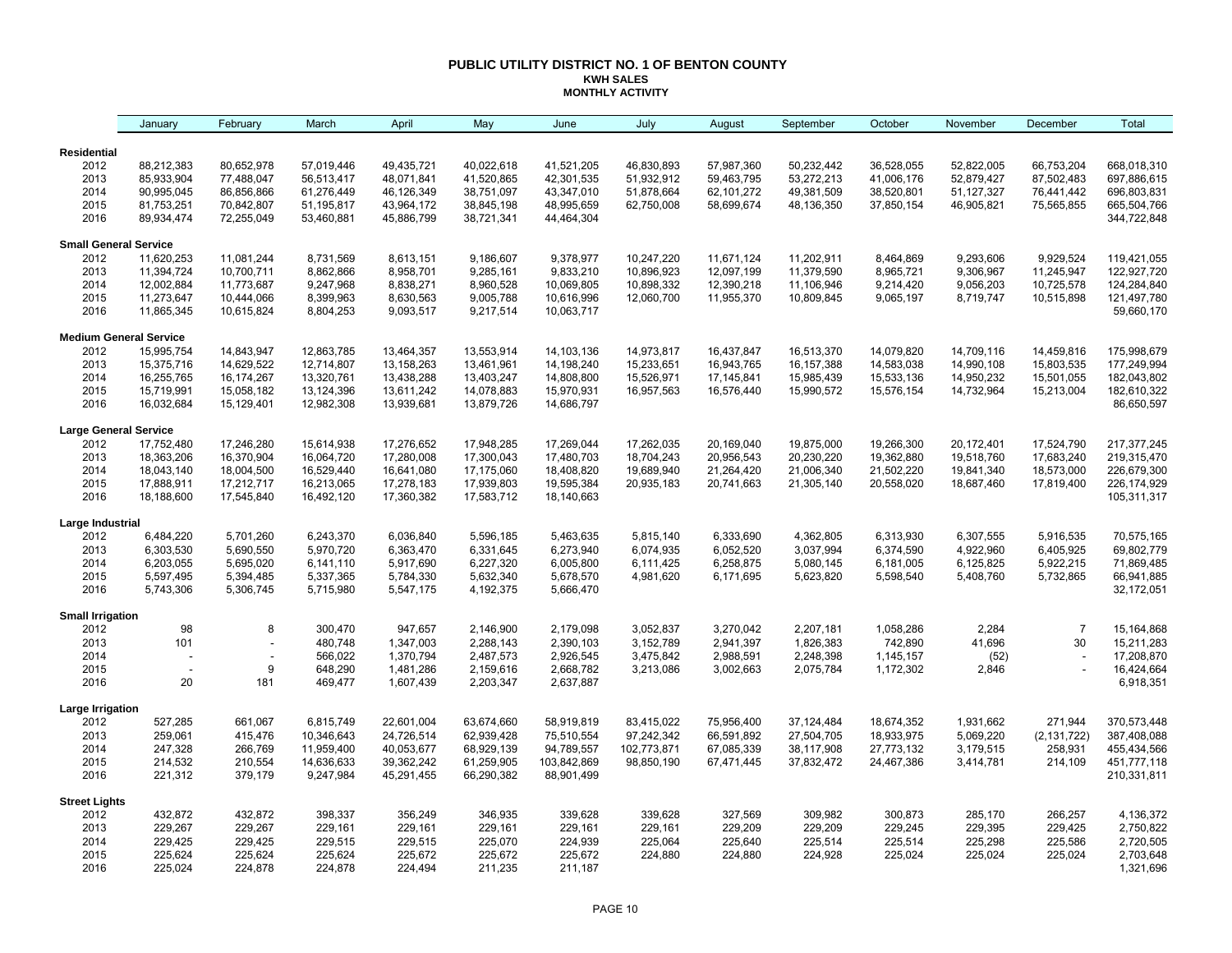### **PUBLIC UTILITY DISTRICT NO. 1 OF BENTON COUNTY KWH SALES MONTHLY ACTIVITY**

|                              | January                       | February                 | March      | April      | May        | June        | July        | August     | September    | October    | November   | December       | Total         |
|------------------------------|-------------------------------|--------------------------|------------|------------|------------|-------------|-------------|------------|--------------|------------|------------|----------------|---------------|
| Residential                  |                               |                          |            |            |            |             |             |            |              |            |            |                |               |
| 2012                         | 88,212,383                    | 80,652,978               | 57,019,446 | 49,435,721 | 40,022,618 | 41,521,205  | 46,830,893  | 57,987,360 | 50,232,442   | 36,528,055 | 52,822,005 | 66,753,204     | 668,018,310   |
| 2013                         | 85,933,904                    | 77,488,047               | 56,513,417 | 48,071,841 | 41,520,865 | 42,301,535  | 51,932,912  | 59,463,795 | 53,272,213   | 41,006,176 | 52,879,427 | 87,502,483     | 697,886,615   |
| 2014                         | 90,995,045                    | 86,856,866               | 61,276,449 | 46,126,349 | 38,751,097 | 43,347,010  | 51,878,664  | 62,101,272 | 49,381,509   | 38,520,801 | 51,127,327 | 76,441,442     | 696,803,831   |
| 2015                         | 81,753,251                    | 70,842,807               | 51,195,817 | 43,964,172 | 38,845,198 | 48,995,659  | 62,750,008  | 58,699,674 | 48,136,350   | 37,850,154 | 46,905,821 | 75,565,855     | 665,504,766   |
| 2016                         | 89,934,474                    | 72,255,049               | 53,460,881 | 45,886,799 | 38,721,341 | 44,464,304  |             |            |              |            |            |                | 344,722,848   |
| <b>Small General Service</b> |                               |                          |            |            |            |             |             |            |              |            |            |                |               |
| 2012                         | 11,620,253                    | 11,081,244               | 8,731,569  | 8,613,151  | 9,186,607  | 9,378,977   | 10,247,220  | 11,671,124 | 11,202,911   | 8,464,869  | 9,293,606  | 9,929,524      | 119,421,055   |
| 2013                         | 11,394,724                    | 10,700,711               | 8,862,866  | 8,958,701  | 9,285,161  | 9,833,210   | 10,896,923  | 12,097,199 | 11,379,590   | 8,965,721  | 9,306,967  | 11,245,947     | 122,927,720   |
| 2014                         | 12,002,884                    | 11,773,687               | 9,247,968  | 8,838,271  | 8,960,528  | 10,069,805  | 10,898,332  | 12,390,218 | 11,106,946   | 9,214,420  | 9,056,203  | 10,725,578     | 124,284,840   |
| 2015                         | 11,273,647                    | 10,444,066               | 8,399,963  | 8,630,563  | 9,005,788  | 10,616,996  | 12,060,700  | 11,955,370 | 10,809,845   | 9,065,197  | 8,719,747  | 10,515,898     | 121,497,780   |
| 2016                         | 11,865,345                    | 10,615,824               | 8,804,253  | 9,093,517  | 9,217,514  | 10,063,717  |             |            |              |            |            |                | 59,660,170    |
|                              | <b>Medium General Service</b> |                          |            |            |            |             |             |            |              |            |            |                |               |
| 2012                         | 15,995,754                    | 14,843,947               | 12,863,785 | 13,464,357 | 13,553,914 | 14,103,136  | 14,973,817  | 16,437,847 | 16,513,370   | 14,079,820 | 14,709,116 | 14,459,816     | 175,998,679   |
| 2013                         | 15,375,716                    | 14,629,522               | 12,714,807 | 13,158,263 | 13,461,961 | 14,198,240  | 15,233,651  | 16,943,765 | 16, 157, 388 | 14,583,038 | 14,990,108 | 15,803,535     | 177,249,994   |
| 2014                         | 16,255,765                    | 16,174,267               | 13,320,761 | 13,438,288 | 13,403,247 | 14,808,800  | 15,526,971  | 17,145,841 | 15,985,439   | 15,533,136 | 14,950,232 | 15,501,055     | 182,043,802   |
| 2015                         | 15,719,991                    | 15,058,182               | 13,124,396 | 13,611,242 | 14,078,883 | 15,970,931  | 16,957,563  | 16,576,440 | 15,990,572   | 15,576,154 | 14,732,964 | 15,213,004     | 182,610,322   |
| 2016                         | 16,032,684                    | 15,129,401               | 12,982,308 | 13,939,681 | 13,879,726 | 14,686,797  |             |            |              |            |            |                | 86,650,597    |
| <b>Large General Service</b> |                               |                          |            |            |            |             |             |            |              |            |            |                |               |
| 2012                         | 17,752,480                    | 17,246,280               | 15,614,938 | 17,276,652 | 17,948,285 | 17,269,044  | 17,262,035  | 20,169,040 | 19,875,000   | 19,266,300 | 20,172,401 | 17,524,790     | 217, 377, 245 |
| 2013                         | 18,363,206                    | 16,370,904               | 16,064,720 | 17,280,008 | 17,300,043 | 17,480,703  | 18,704,243  | 20,956,543 | 20,230,220   | 19,362,880 | 19,518,760 | 17,683,240     | 219,315,470   |
| 2014                         | 18,043,140                    | 18,004,500               | 16,529,440 | 16,641,080 | 17,175,060 | 18,408,820  | 19,689,940  | 21,264,420 | 21,006,340   | 21,502,220 | 19,841,340 | 18,573,000     | 226,679,300   |
| 2015                         | 17,888,911                    | 17,212,717               | 16,213,065 | 17,278,183 | 17,939,803 | 19,595,384  | 20,935,183  | 20,741,663 | 21,305,140   | 20,558,020 | 18,687,460 | 17,819,400     | 226, 174, 929 |
| 2016                         | 18,188,600                    | 17,545,840               | 16,492,120 | 17,360,382 | 17,583,712 | 18,140,663  |             |            |              |            |            |                | 105,311,317   |
| Large Industrial             |                               |                          |            |            |            |             |             |            |              |            |            |                |               |
| 2012                         | 6,484,220                     | 5,701,260                | 6,243,370  | 6,036,840  | 5,596,185  | 5,463,635   | 5,815,140   | 6,333,690  | 4,362,805    | 6,313,930  | 6,307,555  | 5,916,535      | 70,575,165    |
| 2013                         | 6,303,530                     | 5,690,550                | 5,970,720  | 6,363,470  | 6,331,645  | 6,273,940   | 6,074,935   | 6,052,520  | 3,037,994    | 6,374,590  | 4,922,960  | 6,405,925      | 69,802,779    |
| 2014                         | 6,203,055                     | 5,695,020                | 6,141,110  | 5,917,690  | 6,227,320  | 6,005,800   | 6,111,425   | 6,258,875  | 5,080,145    | 6,181,005  | 6,125,825  | 5,922,215      | 71,869,485    |
| 2015                         | 5,597,495                     | 5,394,485                | 5,337,365  | 5,784,330  | 5,632,340  | 5,678,570   | 4,981,620   | 6,171,695  | 5,623,820    | 5,598,540  | 5,408,760  | 5,732,865      | 66,941,885    |
| 2016                         | 5,743,306                     | 5,306,745                | 5,715,980  | 5,547,175  | 4,192,375  | 5,666,470   |             |            |              |            |            |                | 32,172,051    |
| <b>Small Irrigation</b>      |                               |                          |            |            |            |             |             |            |              |            |            |                |               |
| 2012                         | 98                            | 8                        | 300,470    | 947,657    | 2,146,900  | 2,179,098   | 3,052,837   | 3,270,042  | 2,207,181    | 1,058,286  | 2,284      | $\overline{7}$ | 15,164,868    |
| 2013                         | 101                           |                          | 480,748    | 1,347,003  | 2,288,143  | 2,390,103   | 3,152,789   | 2,941,397  | 1,826,383    | 742,890    | 41,696     | 30             | 15,211,283    |
| 2014                         |                               | $\overline{\phantom{a}}$ | 566,022    | 1,370,794  | 2,487,573  | 2,926,545   | 3,475,842   | 2,988,591  | 2,248,398    | 1,145,157  | (52)       |                | 17,208,870    |
| 2015                         |                               | 9                        | 648,290    | 1,481,286  | 2,159,616  | 2,668,782   | 3,213,086   | 3,002,663  | 2,075,784    | 1,172,302  | 2,846      |                | 16,424,664    |
| 2016                         | 20                            | 181                      | 469,477    | 1,607,439  | 2,203,347  | 2,637,887   |             |            |              |            |            |                | 6,918,351     |
| Large Irrigation             |                               |                          |            |            |            |             |             |            |              |            |            |                |               |
| 2012                         | 527,285                       | 661,067                  | 6,815,749  | 22,601,004 | 63,674,660 | 58,919,819  | 83,415,022  | 75,956,400 | 37,124,484   | 18,674,352 | 1,931,662  | 271,944        | 370,573,448   |
| 2013                         | 259,061                       | 415,476                  | 10,346,643 | 24,726,514 | 62,939,428 | 75,510,554  | 97,242,342  | 66,591,892 | 27,504,705   | 18,933,975 | 5,069,220  | (2, 131, 722)  | 387,408,088   |
| 2014                         | 247,328                       | 266,769                  | 11,959,400 | 40,053,677 | 68,929,139 | 94,789,557  | 102,773,871 | 67,085,339 | 38,117,908   | 27,773,132 | 3,179,515  | 258,931        | 455,434,566   |
| 2015                         | 214,532                       | 210,554                  | 14,636,633 | 39,362,242 | 61,259,905 | 103,842,869 | 98,850,190  | 67,471,445 | 37,832,472   | 24,467,386 | 3,414,781  | 214,109        | 451,777,118   |
| 2016                         | 221,312                       | 379,179                  | 9,247,984  | 45,291,455 | 66,290,382 | 88,901,499  |             |            |              |            |            |                | 210,331,811   |
| <b>Street Lights</b>         |                               |                          |            |            |            |             |             |            |              |            |            |                |               |
| 2012                         | 432,872                       | 432,872                  | 398,337    | 356,249    | 346,935    | 339,628     | 339,628     | 327,569    | 309,982      | 300,873    | 285,170    | 266,257        | 4,136,372     |
| 2013                         | 229,267                       | 229,267                  | 229,161    | 229,161    | 229,161    | 229,161     | 229,161     | 229,209    | 229,209      | 229,245    | 229,395    | 229,425        | 2,750,822     |
| 2014                         | 229,425                       | 229,425                  | 229,515    | 229,515    | 225,070    | 224,939     | 225,064     | 225,640    | 225,514      | 225,514    | 225,298    | 225,586        | 2,720,505     |
| 2015                         | 225,624                       | 225,624                  | 225,624    | 225,672    | 225,672    | 225,672     | 224,880     | 224,880    | 224,928      | 225,024    | 225,024    | 225,024        | 2,703,648     |
| 2016                         | 225,024                       | 224,878                  | 224,878    | 224,494    | 211,235    | 211,187     |             |            |              |            |            |                | 1,321,696     |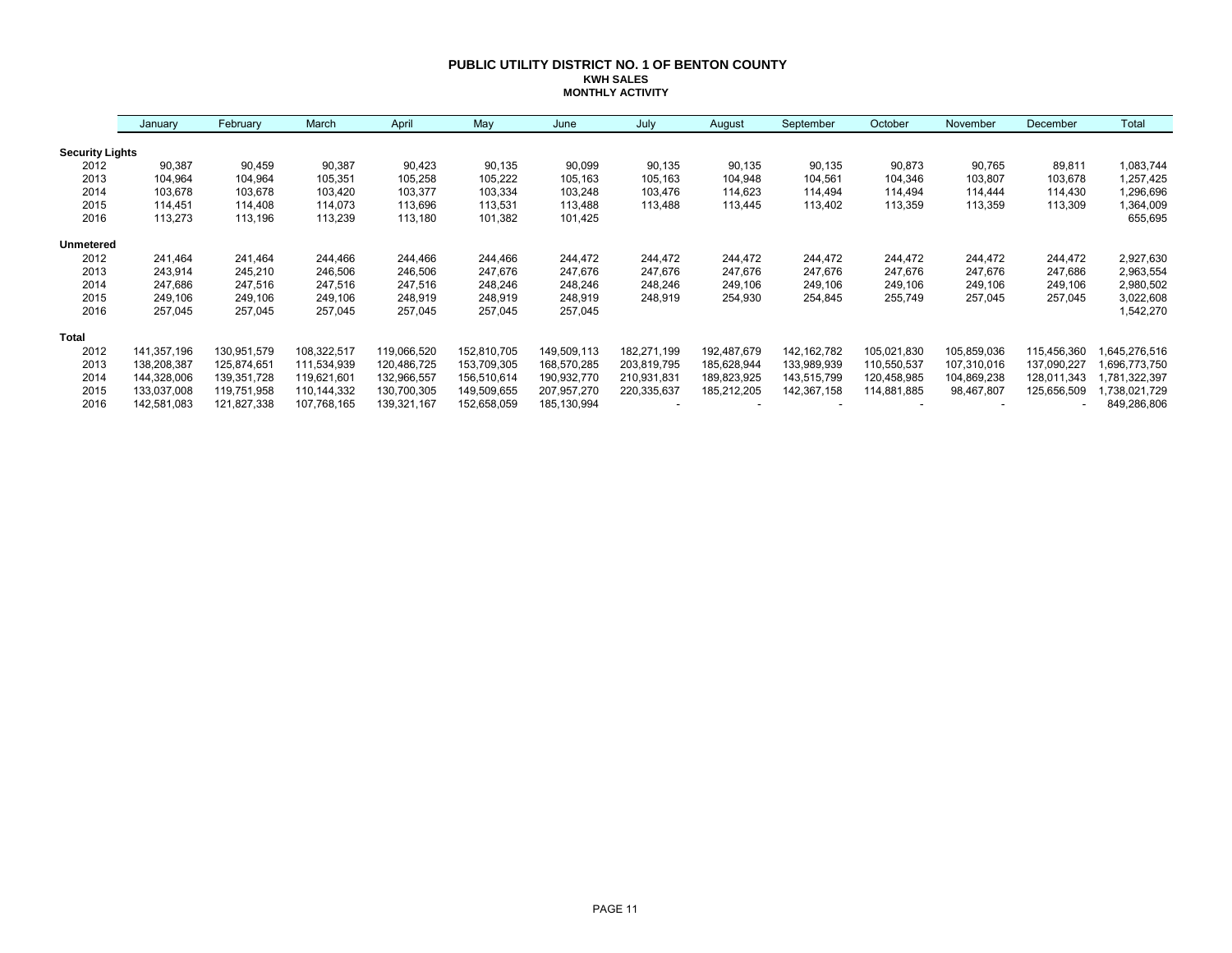### **PUBLIC UTILITY DISTRICT NO. 1 OF BENTON COUNTY KWH SALES MONTHLY ACTIVITY**

|                        | January     | February    | March       | April       | May         | June        | July        | August      | September     | October     | November    | December    | Total        |
|------------------------|-------------|-------------|-------------|-------------|-------------|-------------|-------------|-------------|---------------|-------------|-------------|-------------|--------------|
| <b>Security Lights</b> |             |             |             |             |             |             |             |             |               |             |             |             |              |
| 2012                   | 90,387      | 90,459      | 90,387      | 90,423      | 90,135      | 90,099      | 90,135      | 90,135      | 90,135        | 90,873      | 90,765      | 89,811      | 1,083,744    |
| 2013                   | 104,964     | 104,964     | 105,351     | 105,258     | 105,222     | 105,163     | 105,163     | 104,948     | 104,561       | 104,346     | 103,807     | 103,678     | 1,257,425    |
| 2014                   | 103,678     | 103,678     | 103,420     | 103,377     | 103,334     | 103,248     | 103,476     | 114,623     | 114,494       | 114,494     | 114,444     | 114,430     | 1,296,696    |
| 2015                   | 114,451     | 114,408     | 114,073     | 113,696     | 113,531     | 113,488     | 113,488     | 113,445     | 113,402       | 113,359     | 113,359     | 113,309     | 1,364,009    |
| 2016                   | 113,273     | 113,196     | 113,239     | 113,180     | 101,382     | 101,425     |             |             |               |             |             |             | 655,695      |
| <b>Unmetered</b>       |             |             |             |             |             |             |             |             |               |             |             |             |              |
| 2012                   | 241,464     | 241,464     | 244,466     | 244,466     | 244.466     | 244,472     | 244,472     | 244,472     | 244,472       | 244,472     | 244,472     | 244,472     | 2,927,630    |
| 2013                   | 243,914     | 245,210     | 246,506     | 246,506     | 247,676     | 247,676     | 247,676     | 247,676     | 247,676       | 247,676     | 247,676     | 247,686     | 2,963,554    |
| 2014                   | 247,686     | 247,516     | 247,516     | 247,516     | 248,246     | 248,246     | 248,246     | 249,106     | 249,106       | 249,106     | 249,106     | 249,106     | 2,980,502    |
| 2015                   | 249,106     | 249,106     | 249,106     | 248,919     | 248,919     | 248,919     | 248,919     | 254,930     | 254,845       | 255,749     | 257,045     | 257,045     | 3,022,608    |
| 2016                   | 257,045     | 257,045     | 257,045     | 257,045     | 257,045     | 257,045     |             |             |               |             |             |             | 1,542,270    |
| <b>Total</b>           |             |             |             |             |             |             |             |             |               |             |             |             |              |
| 2012                   | 141,357,196 | 130,951,579 | 108,322,517 | 119,066,520 | 152,810,705 | 149,509,113 | 182,271,199 | 192,487,679 | 142, 162, 782 | 105,021,830 | 105,859,036 | 115,456,360 | ,645,276,516 |
| 2013                   | 138,208,387 | 125,874,651 | 111,534,939 | 120,486,725 | 153,709,305 | 168,570,285 | 203,819,795 | 185,628,944 | 133,989,939   | 110,550,537 | 107,310,016 | 137,090,227 | 696,773,750  |
| 2014                   | 144,328,006 | 139,351,728 | 119,621,601 | 132,966,557 | 156,510,614 | 190,932,770 | 210,931,831 | 189,823,925 | 143,515,799   | 120,458,985 | 104,869,238 | 128,011,343 | ,781,322,397 |
| 2015                   | 133,037,008 | 119,751,958 | 110,144,332 | 130,700,305 | 149,509,655 | 207,957,270 | 220,335,637 | 185,212,205 | 142,367,158   | 114,881,885 | 98,467,807  | 125,656,509 | ,738,021,729 |
| 2016                   | 142,581,083 | 121,827,338 | 107,768,165 | 139,321,167 | 152,658,059 | 185,130,994 |             |             |               |             |             | ٠           | 849,286,806  |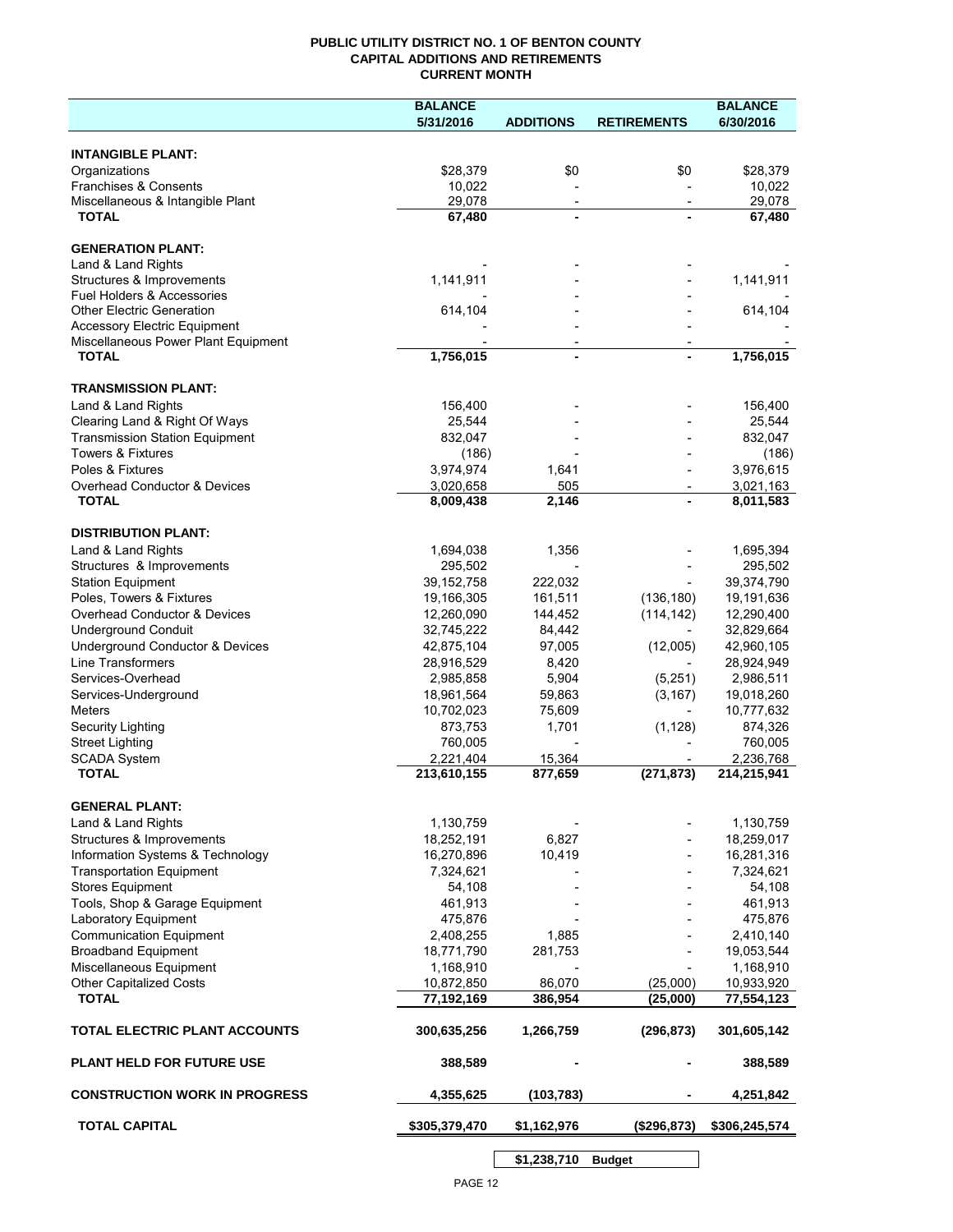## **PUBLIC UTILITY DISTRICT NO. 1 OF BENTON COUNTY CAPITAL ADDITIONS AND RETIREMENTS CURRENT MONTH**

|                                                                            | <b>BALANCE</b>          |                          |                          | <b>BALANCE</b>          |
|----------------------------------------------------------------------------|-------------------------|--------------------------|--------------------------|-------------------------|
|                                                                            | 5/31/2016               | <b>ADDITIONS</b>         | <b>RETIREMENTS</b>       | 6/30/2016               |
| <b>INTANGIBLE PLANT:</b>                                                   |                         |                          |                          |                         |
| Organizations                                                              | \$28,379                | \$0                      | \$0                      | \$28,379                |
| Franchises & Consents                                                      | 10,022                  |                          |                          | 10,022                  |
| Miscellaneous & Intangible Plant                                           | 29,078                  | $\overline{\phantom{a}}$ | $\overline{\phantom{a}}$ | 29,078                  |
| <b>TOTAL</b>                                                               | 67,480                  | $\blacksquare$           |                          | 67,480                  |
| <b>GENERATION PLANT:</b>                                                   |                         |                          |                          |                         |
| Land & Land Rights                                                         |                         |                          |                          |                         |
| Structures & Improvements                                                  | 1,141,911               |                          |                          | 1,141,911               |
| Fuel Holders & Accessories                                                 |                         |                          |                          |                         |
| <b>Other Electric Generation</b>                                           | 614,104                 |                          |                          | 614,104                 |
| <b>Accessory Electric Equipment</b><br>Miscellaneous Power Plant Equipment |                         | $\overline{\phantom{a}}$ |                          |                         |
| <b>TOTAL</b>                                                               | 1,756,015               | $\blacksquare$           |                          | 1,756,015               |
|                                                                            |                         |                          |                          |                         |
| <b>TRANSMISSION PLANT:</b>                                                 |                         |                          |                          |                         |
| Land & Land Rights<br>Clearing Land & Right Of Ways                        | 156,400<br>25,544       |                          |                          | 156,400<br>25,544       |
| <b>Transmission Station Equipment</b>                                      | 832,047                 |                          |                          | 832,047                 |
| <b>Towers &amp; Fixtures</b>                                               | (186)                   |                          |                          | (186)                   |
| Poles & Fixtures                                                           | 3,974,974               | 1,641                    |                          | 3,976,615               |
| Overhead Conductor & Devices                                               | 3,020,658               | 505                      |                          | 3,021,163               |
| <b>TOTAL</b>                                                               | 8,009,438               | 2,146                    |                          | 8,011,583               |
| <b>DISTRIBUTION PLANT:</b>                                                 |                         |                          |                          |                         |
| Land & Land Rights                                                         | 1,694,038               | 1,356                    |                          | 1,695,394               |
| Structures & Improvements                                                  | 295,502                 |                          |                          | 295,502                 |
| <b>Station Equipment</b>                                                   | 39, 152, 758            | 222,032                  |                          | 39,374,790              |
| Poles, Towers & Fixtures                                                   | 19,166,305              | 161,511                  | (136, 180)               | 19,191,636              |
| Overhead Conductor & Devices                                               | 12,260,090              | 144,452                  | (114, 142)               | 12,290,400              |
| <b>Underground Conduit</b>                                                 | 32,745,222              | 84,442                   |                          | 32,829,664              |
| Underground Conductor & Devices                                            | 42,875,104              | 97,005                   | (12,005)                 | 42,960,105              |
| <b>Line Transformers</b>                                                   | 28,916,529              | 8,420                    |                          | 28,924,949              |
| Services-Overhead<br>Services-Underground                                  | 2,985,858<br>18,961,564 | 5,904<br>59,863          | (5,251)<br>(3, 167)      | 2,986,511<br>19,018,260 |
| <b>Meters</b>                                                              | 10,702,023              | 75,609                   |                          | 10,777,632              |
| Security Lighting                                                          | 873,753                 | 1,701                    | (1, 128)                 | 874,326                 |
| <b>Street Lighting</b>                                                     | 760,005                 |                          |                          | 760,005                 |
| <b>SCADA System</b>                                                        | 2,221,404               | 15,364                   |                          | 2,236,768               |
| <b>TOTAL</b>                                                               | 213,610,155             | 877,659                  | (271, 873)               | 214,215,941             |
| <b>GENERAL PLANT:</b>                                                      |                         |                          |                          |                         |
| Land & Land Rights                                                         | 1,130,759               |                          |                          | 1,130,759               |
| Structures & Improvements                                                  | 18,252,191              | 6,827                    |                          | 18,259,017              |
| Information Systems & Technology                                           | 16,270,896              | 10,419                   |                          | 16,281,316              |
| <b>Transportation Equipment</b>                                            | 7,324,621               |                          |                          | 7,324,621               |
| <b>Stores Equipment</b>                                                    | 54,108                  |                          |                          | 54,108                  |
| Tools, Shop & Garage Equipment                                             | 461,913                 |                          |                          | 461,913                 |
| Laboratory Equipment                                                       | 475,876                 |                          |                          | 475,876                 |
| <b>Communication Equipment</b><br><b>Broadband Equipment</b>               | 2,408,255<br>18,771,790 | 1,885<br>281,753         |                          | 2,410,140<br>19,053,544 |
| Miscellaneous Equipment                                                    | 1,168,910               |                          |                          | 1,168,910               |
| <b>Other Capitalized Costs</b>                                             | 10,872,850              | 86,070                   | (25,000)                 | 10,933,920              |
| <b>TOTAL</b>                                                               | 77,192,169              | 386,954                  | (25,000)                 | 77,554,123              |
| TOTAL ELECTRIC PLANT ACCOUNTS                                              | 300,635,256             | 1,266,759                | (296, 873)               | 301,605,142             |
| <b>PLANT HELD FOR FUTURE USE</b>                                           | 388,589                 |                          |                          | 388,589                 |
| <b>CONSTRUCTION WORK IN PROGRESS</b>                                       | 4,355,625               | (103, 783)               |                          | 4,251,842               |
| <b>TOTAL CAPITAL</b>                                                       | \$305,379,470           | \$1,162,976              | (\$296,873)              | \$306,245,574           |
|                                                                            |                         |                          |                          |                         |

PAGE 12

**\$1,238,710 Budget**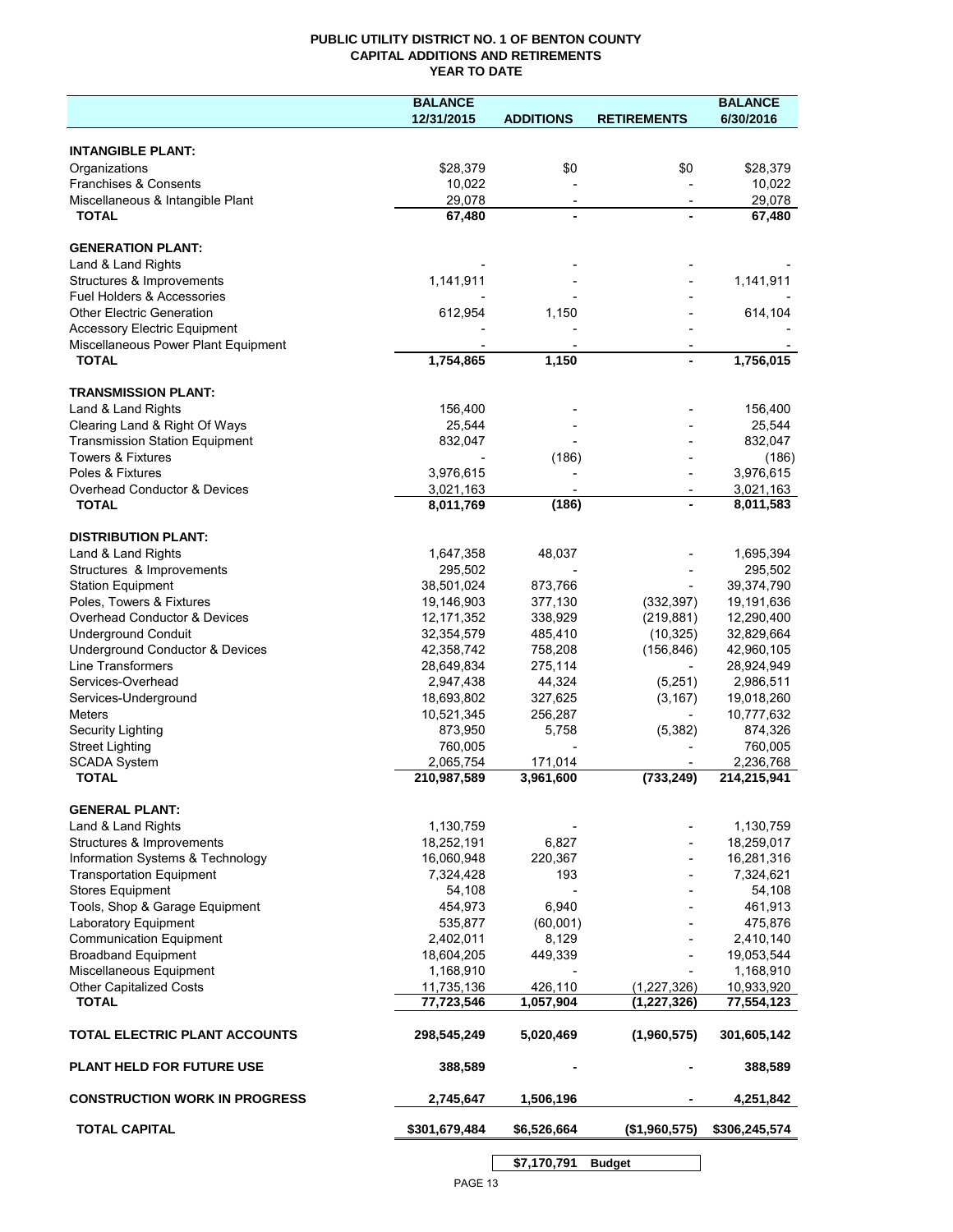# **PUBLIC UTILITY DISTRICT NO. 1 OF BENTON COUNTY CAPITAL ADDITIONS AND RETIREMENTS YEAR TO DATE**

|                                       | <b>BALANCE</b> |                  |                    | <b>BALANCE</b> |
|---------------------------------------|----------------|------------------|--------------------|----------------|
|                                       | 12/31/2015     | <b>ADDITIONS</b> | <b>RETIREMENTS</b> | 6/30/2016      |
|                                       |                |                  |                    |                |
| <b>INTANGIBLE PLANT:</b>              |                |                  |                    |                |
| Organizations                         | \$28,379       | \$0              | \$0                | \$28,379       |
| Franchises & Consents                 | 10,022         |                  |                    | 10,022         |
| Miscellaneous & Intangible Plant      | 29,078         |                  |                    | 29,078         |
| <b>TOTAL</b>                          | 67,480         |                  |                    | 67,480         |
| <b>GENERATION PLANT:</b>              |                |                  |                    |                |
| Land & Land Rights                    |                |                  |                    |                |
| Structures & Improvements             | 1,141,911      |                  |                    | 1,141,911      |
| Fuel Holders & Accessories            |                |                  |                    |                |
| <b>Other Electric Generation</b>      | 612,954        | 1,150            |                    | 614,104        |
| <b>Accessory Electric Equipment</b>   |                |                  |                    |                |
| Miscellaneous Power Plant Equipment   |                |                  |                    |                |
| <b>TOTAL</b>                          | 1,754,865      | 1,150            |                    | 1,756,015      |
|                                       |                |                  |                    |                |
| <b>TRANSMISSION PLANT:</b>            |                |                  |                    |                |
| Land & Land Rights                    | 156,400        |                  |                    | 156,400        |
| Clearing Land & Right Of Ways         | 25,544         |                  |                    | 25,544         |
| <b>Transmission Station Equipment</b> | 832,047        |                  |                    | 832,047        |
| <b>Towers &amp; Fixtures</b>          |                | (186)            |                    | (186)          |
| Poles & Fixtures                      | 3,976,615      |                  |                    | 3,976,615      |
| Overhead Conductor & Devices          | 3,021,163      |                  |                    | 3,021,163      |
| <b>TOTAL</b>                          | 8,011,769      | (186)            |                    | 8,011,583      |
| <b>DISTRIBUTION PLANT:</b>            |                |                  |                    |                |
| Land & Land Rights                    | 1,647,358      | 48,037           |                    | 1,695,394      |
| Structures & Improvements             | 295,502        |                  |                    | 295,502        |
| <b>Station Equipment</b>              | 38,501,024     | 873,766          |                    | 39,374,790     |
| Poles, Towers & Fixtures              | 19,146,903     | 377,130          | (332, 397)         | 19,191,636     |
| Overhead Conductor & Devices          | 12, 171, 352   | 338,929          | (219, 881)         | 12,290,400     |
| <b>Underground Conduit</b>            | 32,354,579     | 485,410          | (10, 325)          | 32,829,664     |
| Underground Conductor & Devices       | 42,358,742     | 758,208          | (156, 846)         | 42,960,105     |
| <b>Line Transformers</b>              | 28,649,834     | 275,114          |                    | 28,924,949     |
| Services-Overhead                     | 2,947,438      | 44,324           | (5,251)            | 2,986,511      |
| Services-Underground                  | 18,693,802     | 327,625          | (3, 167)           | 19,018,260     |
| <b>Meters</b>                         | 10,521,345     | 256,287          |                    | 10,777,632     |
| Security Lighting                     | 873,950        | 5,758            | (5, 382)           | 874,326        |
| <b>Street Lighting</b>                | 760,005        |                  |                    | 760,005        |
| <b>SCADA System</b>                   | 2,065,754      | 171,014          |                    | 2,236,768      |
| <b>TOTAL</b>                          | 210,987,589    | 3,961,600        | (733, 249)         | 214,215,941    |
|                                       |                |                  |                    |                |
| <b>GENERAL PLANT:</b>                 |                |                  |                    |                |
| Land & Land Rights                    | 1,130,759      |                  |                    | 1,130,759      |
| Structures & Improvements             | 18,252,191     | 6,827            |                    | 18,259,017     |
| Information Systems & Technology      | 16,060,948     | 220,367          |                    | 16,281,316     |
| <b>Transportation Equipment</b>       | 7,324,428      | 193              |                    | 7,324,621      |
| <b>Stores Equipment</b>               | 54,108         |                  |                    | 54,108         |
| Tools, Shop & Garage Equipment        | 454,973        | 6,940            |                    | 461,913        |
| Laboratory Equipment                  | 535,877        | (60,001)         |                    | 475,876        |
| <b>Communication Equipment</b>        | 2,402,011      | 8,129            |                    | 2,410,140      |
| <b>Broadband Equipment</b>            | 18,604,205     | 449,339          |                    | 19,053,544     |
| Miscellaneous Equipment               | 1,168,910      |                  |                    | 1,168,910      |
| Other Capitalized Costs               | 11,735,136     | 426,110          | (1,227,326)        | 10,933,920     |
| <b>TOTAL</b>                          | 77,723,546     | 1,057,904        | (1, 227, 326)      | 77,554,123     |
| TOTAL ELECTRIC PLANT ACCOUNTS         | 298,545,249    | 5,020,469        | (1,960,575)        | 301,605,142    |
| <b>PLANT HELD FOR FUTURE USE</b>      | 388,589        |                  |                    | 388,589        |
| <b>CONSTRUCTION WORK IN PROGRESS</b>  | 2,745,647      | 1,506,196        |                    | 4,251,842      |
| <b>TOTAL CAPITAL</b>                  | \$301,679,484  | \$6,526,664      | (\$1,960,575)      | \$306,245,574  |
|                                       |                | \$7,170,791      | <b>Budget</b>      |                |
|                                       |                |                  |                    |                |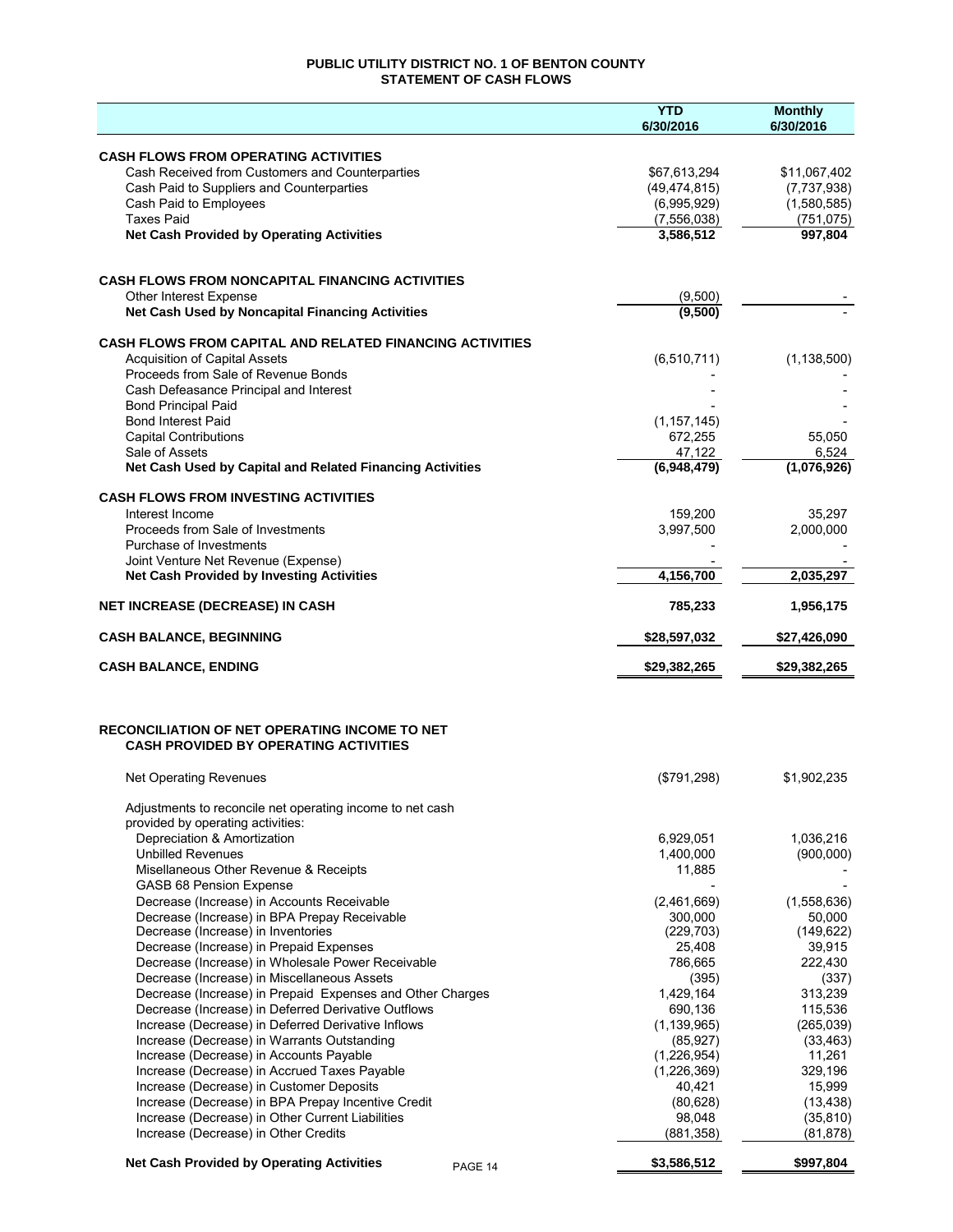# **PUBLIC UTILITY DISTRICT NO. 1 OF BENTON COUNTY STATEMENT OF CASH FLOWS**

|                                                                                              | <b>YTD</b><br>6/30/2016 | <b>Monthly</b><br>6/30/2016 |
|----------------------------------------------------------------------------------------------|-------------------------|-----------------------------|
| <b>CASH FLOWS FROM OPERATING ACTIVITIES</b>                                                  |                         |                             |
| Cash Received from Customers and Counterparties                                              | \$67,613,294            | \$11,067,402                |
| Cash Paid to Suppliers and Counterparties                                                    | (49, 474, 815)          | (7,737,938)                 |
| Cash Paid to Employees                                                                       | (6,995,929)             | (1,580,585)                 |
| <b>Taxes Paid</b>                                                                            | (7,556,038)             | (751, 075)                  |
| <b>Net Cash Provided by Operating Activities</b>                                             | 3,586,512               | 997,804                     |
|                                                                                              |                         |                             |
| <b>CASH FLOWS FROM NONCAPITAL FINANCING ACTIVITIES</b>                                       |                         |                             |
| <b>Other Interest Expense</b><br>Net Cash Used by Noncapital Financing Activities            | (9,500)<br>(9,500)      |                             |
| <b>CASH FLOWS FROM CAPITAL AND RELATED FINANCING ACTIVITIES</b>                              |                         |                             |
| <b>Acquisition of Capital Assets</b>                                                         | (6, 510, 711)           | (1, 138, 500)               |
| Proceeds from Sale of Revenue Bonds                                                          |                         |                             |
| Cash Defeasance Principal and Interest                                                       |                         |                             |
| <b>Bond Principal Paid</b>                                                                   |                         |                             |
| <b>Bond Interest Paid</b>                                                                    | (1, 157, 145)           |                             |
| <b>Capital Contributions</b>                                                                 | 672,255                 | 55,050                      |
| Sale of Assets                                                                               | 47,122                  | 6,524                       |
| Net Cash Used by Capital and Related Financing Activities                                    | (6,948,479)             | (1,076,926)                 |
| <b>CASH FLOWS FROM INVESTING ACTIVITIES</b>                                                  |                         |                             |
| Interest Income                                                                              | 159,200                 | 35,297                      |
| Proceeds from Sale of Investments<br>Purchase of Investments                                 | 3,997,500               | 2,000,000                   |
| Joint Venture Net Revenue (Expense)                                                          |                         |                             |
| <b>Net Cash Provided by Investing Activities</b>                                             | 4,156,700               | 2,035,297                   |
| <b>NET INCREASE (DECREASE) IN CASH</b>                                                       | 785,233                 | 1,956,175                   |
| <b>CASH BALANCE, BEGINNING</b>                                                               | \$28,597,032            | \$27,426,090                |
| <b>CASH BALANCE, ENDING</b>                                                                  | \$29,382,265            | \$29,382,265                |
| RECONCILIATION OF NET OPERATING INCOME TO NET                                                |                         |                             |
| <b>CASH PROVIDED BY OPERATING ACTIVITIES</b>                                                 |                         |                             |
| Net Operating Revenues                                                                       | (\$791,298)             | \$1,902,235                 |
| Adjustments to reconcile net operating income to net cash                                    |                         |                             |
| provided by operating activities:<br>Depreciation & Amortization                             | 6,929,051               | 1,036,216                   |
| <b>Unbilled Revenues</b>                                                                     | 1,400,000               | (900,000)                   |
| Misellaneous Other Revenue & Receipts                                                        | 11,885                  |                             |
| GASB 68 Pension Expense                                                                      |                         |                             |
| Decrease (Increase) in Accounts Receivable                                                   | (2,461,669)             | (1,558,636)                 |
| Decrease (Increase) in BPA Prepay Receivable                                                 | 300,000                 | 50,000                      |
| Decrease (Increase) in Inventories                                                           | (229, 703)              | (149, 622)                  |
| Decrease (Increase) in Prepaid Expenses<br>Decrease (Increase) in Wholesale Power Receivable | 25,408                  | 39,915                      |
| Decrease (Increase) in Miscellaneous Assets                                                  | 786,665<br>(395)        | 222,430<br>(337)            |
| Decrease (Increase) in Prepaid Expenses and Other Charges                                    | 1,429,164               | 313,239                     |
| Decrease (Increase) in Deferred Derivative Outflows                                          | 690,136                 | 115,536                     |
| Increase (Decrease) in Deferred Derivative Inflows                                           | (1, 139, 965)           | (265, 039)                  |
| Increase (Decrease) in Warrants Outstanding                                                  | (85, 927)               | (33, 463)                   |
| Increase (Decrease) in Accounts Payable                                                      | (1,226,954)             | 11,261                      |
| Increase (Decrease) in Accrued Taxes Payable                                                 | (1,226,369)             | 329,196                     |
| Increase (Decrease) in Customer Deposits                                                     | 40,421                  | 15,999                      |
| Increase (Decrease) in BPA Prepay Incentive Credit                                           | (80, 628)               | (13, 438)                   |
| Increase (Decrease) in Other Current Liabilities                                             | 98,048                  | (35, 810)                   |
| Increase (Decrease) in Other Credits                                                         | (881, 358)              | (81, 878)                   |
| <b>Net Cash Provided by Operating Activities</b><br>PAGE 14                                  | \$3,586,512             | \$997,804                   |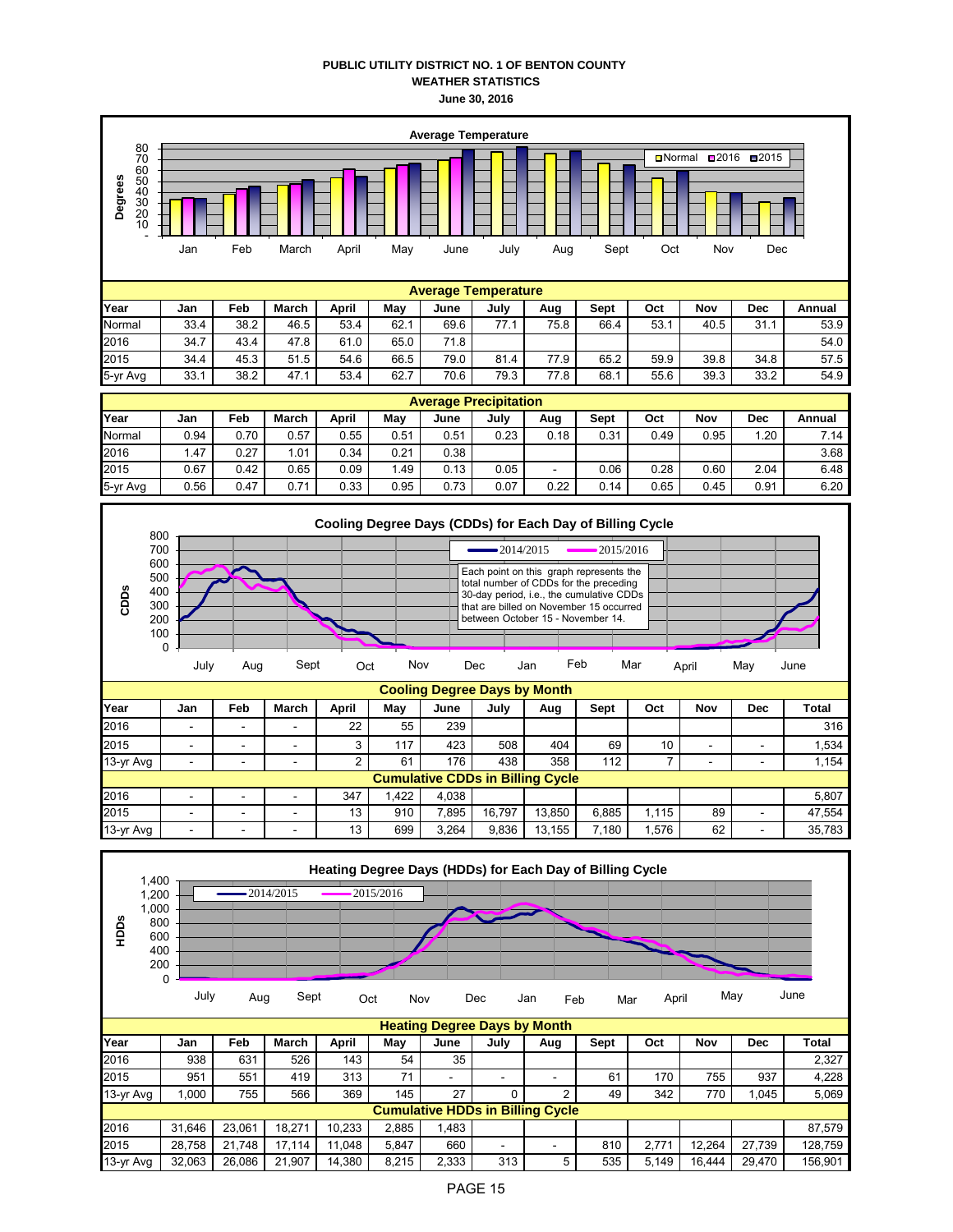## **PUBLIC UTILITY DISTRICT NO. 1 OF BENTON COUNTY WEATHER STATISTICS June 30, 2016**



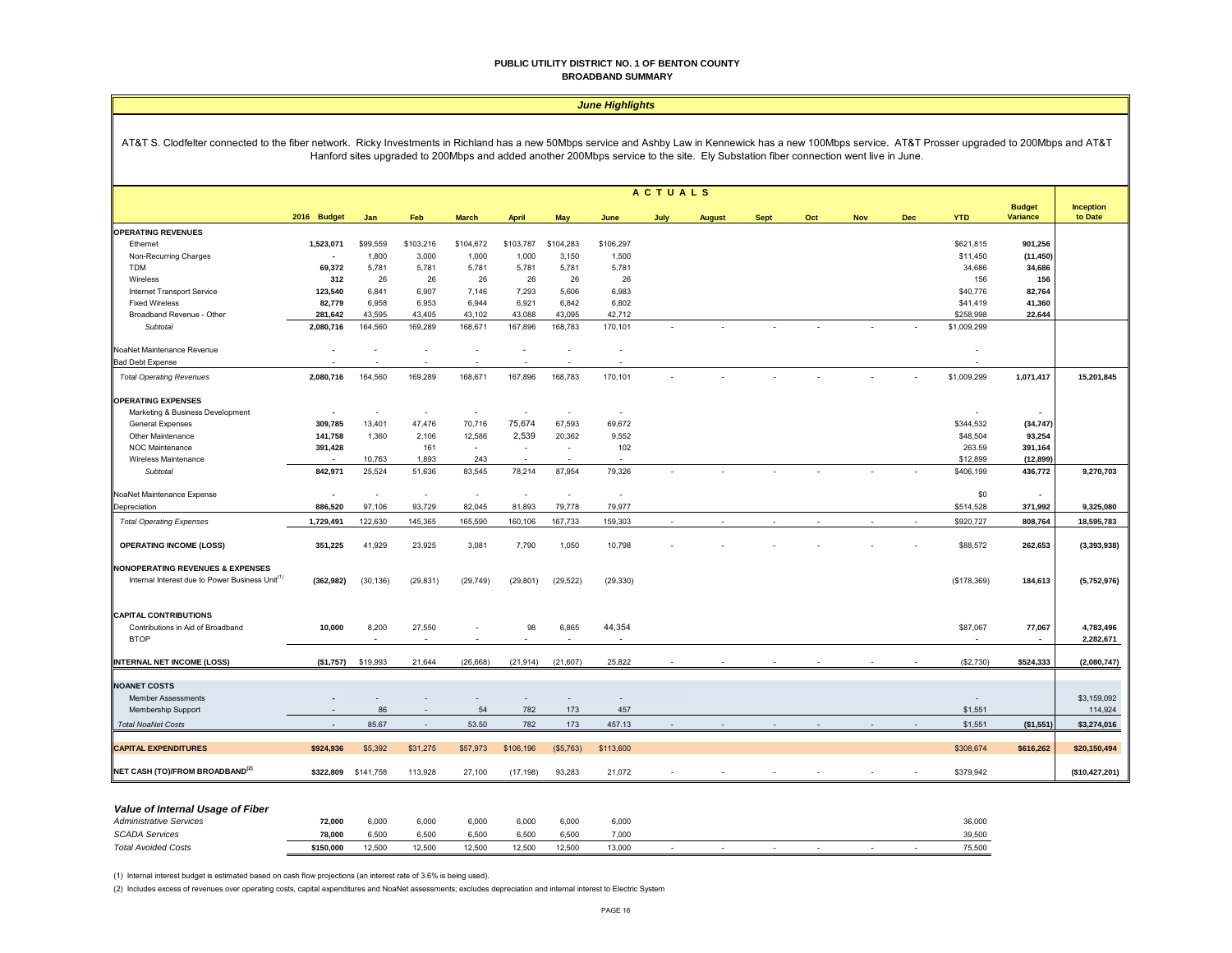#### **PUBLIC UTILITY DISTRICT NO. 1 OF BENTON COUNTY BROADBAND SUMMARY**

|                                                                                                                                                                                                           | <b>June Highlights</b>   |           |           |              |                                 |           |                                                                                                                                     |                |               |             |     |            |            |             |                          |                        |
|-----------------------------------------------------------------------------------------------------------------------------------------------------------------------------------------------------------|--------------------------|-----------|-----------|--------------|---------------------------------|-----------|-------------------------------------------------------------------------------------------------------------------------------------|----------------|---------------|-------------|-----|------------|------------|-------------|--------------------------|------------------------|
| AT&T S. Clodfelter connected to the fiber network. Ricky Investments in Richland has a new 50Mbps service and Ashby Law in Kennewick has a new 100Mbps service. AT&T Prosser upgraded to 200Mbps and AT&T |                          |           |           |              |                                 |           | Hanford sites upgraded to 200Mbps and added another 200Mbps service to the site. Ely Substation fiber connection went live in June. |                |               |             |     |            |            |             |                          |                        |
|                                                                                                                                                                                                           |                          |           |           |              |                                 |           |                                                                                                                                     | <b>ACTUALS</b> |               |             |     |            |            |             | <b>Budget</b>            | <b>Inception</b>       |
|                                                                                                                                                                                                           | 2016 Budget              | Jan       | Feb       | <b>March</b> | <b>April</b>                    | May       | June                                                                                                                                | July           | <b>August</b> | <b>Sept</b> | Oct | <b>Nov</b> | <b>Dec</b> | <b>YTD</b>  | <b>Variance</b>          | to Date                |
| <b>OPERATING REVENUES</b>                                                                                                                                                                                 |                          |           |           |              |                                 |           |                                                                                                                                     |                |               |             |     |            |            |             |                          |                        |
| Ethernet                                                                                                                                                                                                  | 1,523,071                | \$99,559  | \$103,216 | \$104,672    | \$103,787                       | \$104,283 | \$106,297                                                                                                                           |                |               |             |     |            |            | \$621,815   | 901,256                  |                        |
| Non-Recurring Charges                                                                                                                                                                                     |                          | 1,800     | 3,000     | 1,000        | 1,000                           | 3,150     | 1,500                                                                                                                               |                |               |             |     |            |            | \$11,450    | (11, 450)                |                        |
| TDM                                                                                                                                                                                                       | 69,372                   | 5,781     | 5,781     | 5,781        | 5,781                           | 5,781     | 5,781                                                                                                                               |                |               |             |     |            |            | 34,686      | 34,686                   |                        |
| Wireless                                                                                                                                                                                                  | 312                      | 26        | 26        | 26           | 26                              | 26        | 26                                                                                                                                  |                |               |             |     |            |            | 156         | 156                      |                        |
| Internet Transport Service                                                                                                                                                                                | 123,540                  | 6,841     | 6,907     | 7,146        | 7,293                           | 5,606     | 6,983                                                                                                                               |                |               |             |     |            |            | \$40,776    | 82,764                   |                        |
| <b>Fixed Wireless</b>                                                                                                                                                                                     | 82,779                   | 6,958     | 6,953     | 6,944        | 6,921                           | 6,842     | 6,802                                                                                                                               |                |               |             |     |            |            | \$41,419    | 41,360                   |                        |
| Broadband Revenue - Other                                                                                                                                                                                 | 281,642                  | 43,595    | 43,405    | 43,102       | 43,088                          | 43,095    | 42,712                                                                                                                              |                |               |             |     |            |            | \$258,998   | 22,644                   |                        |
| Subtotal                                                                                                                                                                                                  | 2,080,716                | 164,560   | 169,289   | 168,671      | 167,896                         | 168,783   | 170,101                                                                                                                             |                |               |             |     |            |            | \$1,009,299 |                          |                        |
| NoaNet Maintenance Revenue                                                                                                                                                                                | J.                       |           | $\sim$    | $\sim$       | $\lambda$                       | $\sim$    |                                                                                                                                     |                |               |             |     |            |            |             |                          |                        |
| <b>Bad Debt Expense</b>                                                                                                                                                                                   |                          |           |           |              |                                 |           |                                                                                                                                     |                |               |             |     |            |            |             |                          |                        |
| <b>Total Operating Revenues</b>                                                                                                                                                                           | 2,080,716                | 164.560   | 169,289   | 168,671      | 167,896                         | 168,783   | 170,101                                                                                                                             |                |               |             |     |            |            | \$1,009,299 | 1,071,417                | 15,201,845             |
| <b>OPERATING EXPENSES</b>                                                                                                                                                                                 |                          |           |           |              |                                 |           |                                                                                                                                     |                |               |             |     |            |            |             |                          |                        |
| Marketing & Business Development                                                                                                                                                                          |                          |           |           | ٠            |                                 |           | $\sim$                                                                                                                              |                |               |             |     |            |            |             |                          |                        |
| <b>General Expenses</b>                                                                                                                                                                                   | 309,785                  | 13,401    | 47,476    | 70,716       | 75,674                          | 67,593    | 69,672                                                                                                                              |                |               |             |     |            |            | \$344,532   | (34, 747)                |                        |
| Other Maintenance                                                                                                                                                                                         | 141,758                  | 1,360     | 2,106     | 12,586       | 2,539                           | 20,362    | 9,552                                                                                                                               |                |               |             |     |            |            | \$48,504    | 93,254                   |                        |
| <b>NOC Maintenance</b>                                                                                                                                                                                    | 391,428                  |           | 161       | ٠            | $\sim$                          |           | 102                                                                                                                                 |                |               |             |     |            |            | 263.59      | 391,164                  |                        |
| Wireless Maintenance                                                                                                                                                                                      |                          | 10,763    | 1,893     | 243          | $\sim$                          |           |                                                                                                                                     |                |               |             |     |            |            | \$12,899    | (12, 899)                |                        |
| Subtotal                                                                                                                                                                                                  | 842,971                  | 25,524    | 51,636    | 83,545       | 78,214                          | 87,954    | 79,326                                                                                                                              |                |               |             |     |            |            | \$406,199   | 436,772                  | 9,270,703              |
| NoaNet Maintenance Expense                                                                                                                                                                                | $\overline{a}$           | $\sim$    | $\sim$    | $\sim$       | $\sim$                          | $\sim$    | $\sim$                                                                                                                              |                |               |             |     |            |            | \$0         | $\overline{\phantom{a}}$ |                        |
| Depreciation                                                                                                                                                                                              | 886,520                  | 97,106    | 93,729    | 82,045       | 81,893                          | 79,778    | 79,977                                                                                                                              |                |               |             |     |            |            | \$514,528   | 371,992                  | 9,325,080              |
| <b>Total Operating Expenses</b>                                                                                                                                                                           | 1,729,491                | 122,630   | 145,365   | 165,590      | 160,106                         | 167,733   | 159,303                                                                                                                             |                |               |             |     |            |            | \$920,727   | 808,764                  | 18,595,783             |
| <b>OPERATING INCOME (LOSS)</b>                                                                                                                                                                            | 351,225                  | 41,929    | 23,925    | 3,081        | 7,790                           | 1,050     | 10,798                                                                                                                              |                |               |             |     |            |            | \$88,572    | 262,653                  | (3,393,938)            |
| <b>NONOPERATING REVENUES &amp; EXPENSES</b><br>Internal Interest due to Power Business Unit <sup>(1)</sup>                                                                                                | (362, 982)               | (30, 136) | (29, 831) | (29, 749)    | (29, 801)                       | (29, 522) | (29, 330)                                                                                                                           |                |               |             |     |            |            | (\$178,369) | 184,613                  | (5,752,976)            |
| <b>CAPITAL CONTRIBUTIONS</b><br>Contributions in Aid of Broadband<br><b>BTOP</b>                                                                                                                          | 10,000                   | 8,200     | 27,550    |              | 98                              | 6,865     | 44,354                                                                                                                              |                |               |             |     |            |            | \$87,067    | 77,067<br>$\blacksquare$ | 4,783,496<br>2,282,671 |
| <b>INTERNAL NET INCOME (LOSS)</b>                                                                                                                                                                         | (\$1,757)                | \$19,993  | 21.644    | (26, 668)    | (21, 914)                       | (21, 607) | 25,822                                                                                                                              |                |               |             |     |            |            | (\$2,730)   | \$524,333                | (2,080,747)            |
| <b>NOANET COSTS</b>                                                                                                                                                                                       |                          |           |           |              |                                 |           |                                                                                                                                     |                |               |             |     |            |            |             |                          |                        |
| <b>Member Assessments</b><br>Membership Support                                                                                                                                                           |                          | 86        |           | 54           | $\overline{\phantom{a}}$<br>782 | 173       | 457                                                                                                                                 |                |               |             |     |            |            | \$1,551     |                          | \$3,159,092<br>114,924 |
| <b>Total NoaNet Costs</b>                                                                                                                                                                                 | $\overline{\phantom{a}}$ | 85.67     |           | 53.50        | 782                             | 173       | 457.13                                                                                                                              |                |               |             |     |            |            | \$1,551     | (\$1,551)                | \$3,274,016            |
|                                                                                                                                                                                                           |                          |           |           |              |                                 |           |                                                                                                                                     |                |               |             |     |            |            |             |                          |                        |
| <b>CAPITAL EXPENDITURES</b>                                                                                                                                                                               | \$924,936                | \$5,392   | \$31,275  | \$57,973     | \$106,196                       | (\$5,763) | \$113,600                                                                                                                           |                |               |             |     |            |            | \$308,674   | \$616,262                | \$20,150,494           |
| NET CASH (TO)/FROM BROADBAND <sup>(2)</sup>                                                                                                                                                               | \$322,809                | \$141,758 | 113,928   | 27,100       | (17, 198)                       | 93,283    | 21,072                                                                                                                              |                |               |             |     |            |            | \$379,942   |                          | (\$10,427,201)         |

## *Value of Internal Usage of Fiber*

| __<br>Administrative Services | 72,000           | 6,000  | 6,000  | 6.000  | 6.000  | 6,000  | 6,000  |  |  |  | 36,000 |
|-------------------------------|------------------|--------|--------|--------|--------|--------|--------|--|--|--|--------|
| <b>SCADA Services</b>         | 79.000<br>10.UUL | 6.500  | 6.500  | 5.50   | 5.500  | 6.500  | 7.000  |  |  |  | 39.500 |
| <b>Total Avoided Costs</b>    | \$150,000        | 12,500 | 12,500 | 12,500 | 12,500 | 12,500 | 13,000 |  |  |  | 75,500 |

(1) Internal interest budget is estimated based on cash flow projections (an interest rate of 3.6% is being used).

(2) Includes excess of revenues over operating costs, capital expenditures and NoaNet assessments; excludes depreciation and internal interest to Electric System